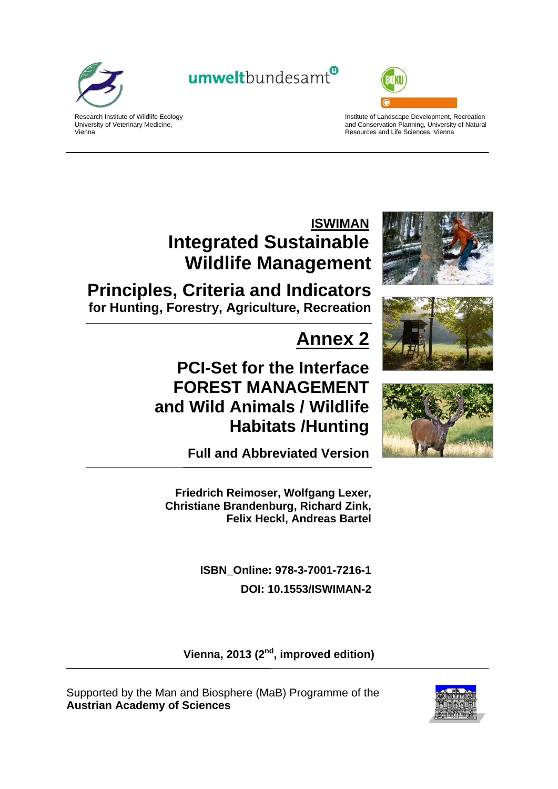

umweltbundesamt<sup>®</sup>



Research Institute of Wildlife Ecology University of Veterinary Medicine, Vienna

Institute of Landscape Development, Recreation and Conservation Planning, University of Natural Resources and Life Sciences, Vienna

# **ISWIMAN Integrated Sustainable Wildlife Management**

**Principles, Criteria and Indicators for Hunting, Forestry, Agriculture, Recreation**

# **Annex 2**

# **PCI-Set for the Interface FOREST MANAGEMENT and Wild Animals / Wildlife Habitats /Hunting**







**Full and Abbreviated Version** 

**Friedrich Reimoser, Wolfgang Lexer, Christiane Brandenburg, Richard Zink, Felix Heckl, Andreas Bartel** 

> **ISBN\_Online: 978-3-7001-7216-1 DOI: 10.1553/ISWIMAN-2**

Vienna, 2013 (2<sup>nd</sup>, improved edition)

Supported by the Man and Biosphere (MaB) Programme of the **Austrian Academy of Sciences**

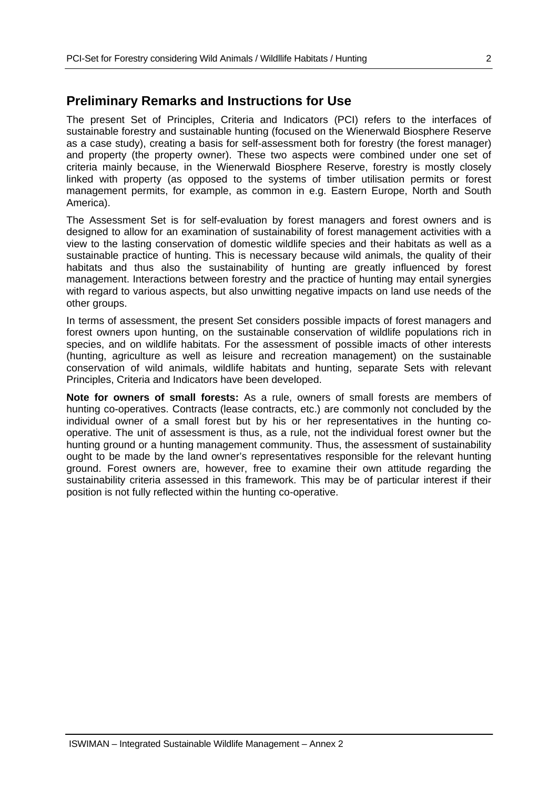## **Preliminary Remarks and Instructions for Use**

The present Set of Principles, Criteria and Indicators (PCI) refers to the interfaces of sustainable forestry and sustainable hunting (focused on the Wienerwald Biosphere Reserve as a case study), creating a basis for self-assessment both for forestry (the forest manager) and property (the property owner). These two aspects were combined under one set of criteria mainly because, in the Wienerwald Biosphere Reserve, forestry is mostly closely linked with property (as opposed to the systems of timber utilisation permits or forest management permits, for example, as common in e.g. Eastern Europe, North and South America).

The Assessment Set is for self-evaluation by forest managers and forest owners and is designed to allow for an examination of sustainability of forest management activities with a view to the lasting conservation of domestic wildlife species and their habitats as well as a sustainable practice of hunting. This is necessary because wild animals, the quality of their habitats and thus also the sustainability of hunting are greatly influenced by forest management. Interactions between forestry and the practice of hunting may entail synergies with regard to various aspects, but also unwitting negative impacts on land use needs of the other groups.

In terms of assessment, the present Set considers possible impacts of forest managers and forest owners upon hunting, on the sustainable conservation of wildlife populations rich in species, and on wildlife habitats. For the assessment of possible imacts of other interests (hunting, agriculture as well as leisure and recreation management) on the sustainable conservation of wild animals, wildlife habitats and hunting, separate Sets with relevant Principles, Criteria and Indicators have been developed.

**Note for owners of small forests:** As a rule, owners of small forests are members of hunting co-operatives. Contracts (lease contracts, etc.) are commonly not concluded by the individual owner of a small forest but by his or her representatives in the hunting cooperative. The unit of assessment is thus, as a rule, not the individual forest owner but the hunting ground or a hunting management community. Thus, the assessment of sustainability ought to be made by the land owner's representatives responsible for the relevant hunting ground. Forest owners are, however, free to examine their own attitude regarding the sustainability criteria assessed in this framework. This may be of particular interest if their position is not fully reflected within the hunting co-operative.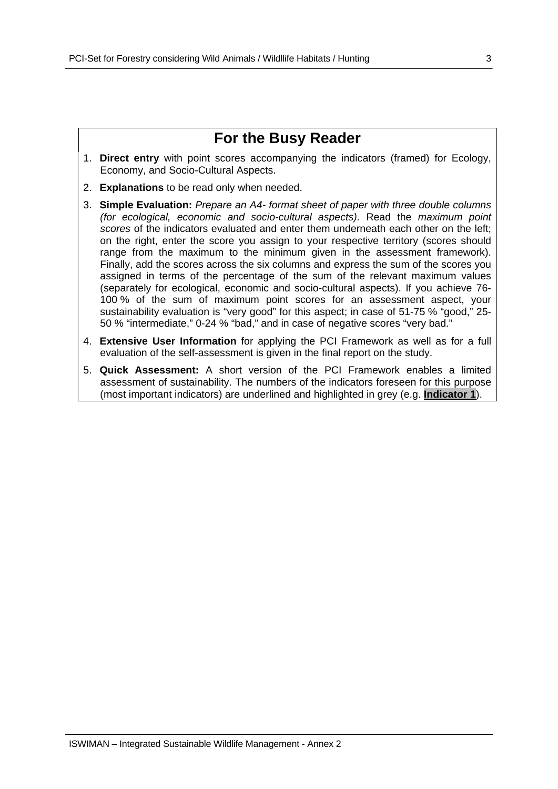## **For the Busy Reader**

- 1. **Direct entry** with point scores accompanying the indicators (framed) for Ecology, Economy, and Socio-Cultural Aspects.
- 2. **Explanations** to be read only when needed.
- 3. **Simple Evaluation:** *Prepare an A4- format sheet of paper with three double columns (for ecological, economic and socio-cultural aspects).* Read the *maximum point scores* of the indicators evaluated and enter them underneath each other on the left; on the right, enter the score you assign to your respective territory (scores should range from the maximum to the minimum given in the assessment framework). Finally, add the scores across the six columns and express the sum of the scores you assigned in terms of the percentage of the sum of the relevant maximum values (separately for ecological, economic and socio-cultural aspects). If you achieve 76- 100 % of the sum of maximum point scores for an assessment aspect, your sustainability evaluation is "very good" for this aspect; in case of 51-75 % "good," 25- 50 % "intermediate," 0-24 % "bad," and in case of negative scores "very bad."
- 4. **Extensive User Information** for applying the PCI Framework as well as for a full evaluation of the self-assessment is given in the final report on the study.
- 5. **Quick Assessment:** A short version of the PCI Framework enables a limited assessment of sustainability. The numbers of the indicators foreseen for this purpose (most important indicators) are underlined and highlighted in grey (e.g. **Indicator 1**).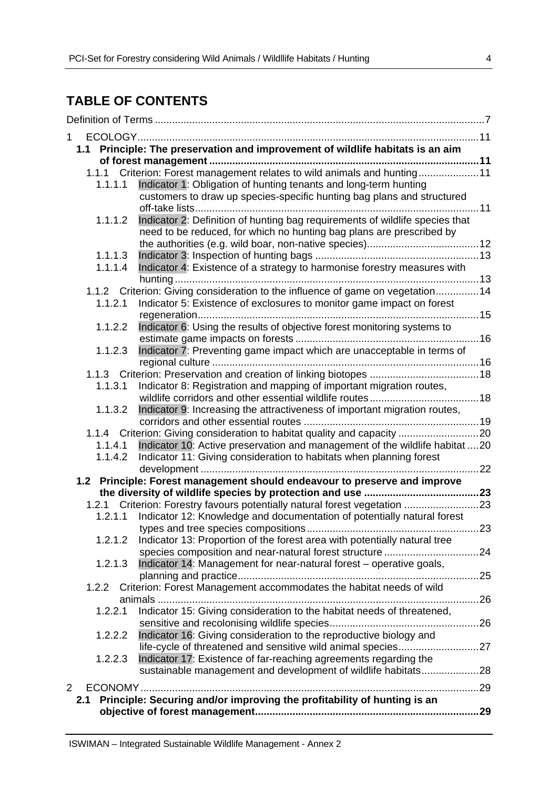## **TABLE OF CONTENTS**

| 1              |                                                                                |     |
|----------------|--------------------------------------------------------------------------------|-----|
|                | 1.1 Principle: The preservation and improvement of wildlife habitats is an aim |     |
|                |                                                                                |     |
|                | 1.1.1 Criterion: Forest management relates to wild animals and hunting11       |     |
| 1.1.1.1        | Indicator 1: Obligation of hunting tenants and long-term hunting               |     |
|                | customers to draw up species-specific hunting bag plans and structured         |     |
|                |                                                                                |     |
| 1.1.1.2        | Indicator 2: Definition of hunting bag requirements of wildlife species that   |     |
|                | need to be reduced, for which no hunting bag plans are prescribed by           |     |
|                |                                                                                |     |
| 1.1.1.3        |                                                                                |     |
| 1.1.1.4        | Indicator 4: Existence of a strategy to harmonise forestry measures with       |     |
|                |                                                                                |     |
|                | 1.1.2 Criterion: Giving consideration to the influence of game on vegetation14 |     |
| 1.1.2.1        | Indicator 5: Existence of exclosures to monitor game impact on forest          |     |
| 1.1.2.2        | Indicator 6: Using the results of objective forest monitoring systems to       |     |
|                |                                                                                |     |
| 1.1.2.3        | Indicator 7: Preventing game impact which are unacceptable in terms of         |     |
|                |                                                                                |     |
|                |                                                                                |     |
| 1.1.3.1        | Indicator 8: Registration and mapping of important migration routes,           |     |
|                |                                                                                |     |
| 1.1.3.2        | Indicator 9: Increasing the attractiveness of important migration routes,      |     |
|                |                                                                                |     |
|                | 1.1.4 Criterion: Giving consideration to habitat quality and capacity 20       |     |
| 1.1.4.1        | Indicator 10: Active preservation and management of the wildlife habitat 20    |     |
| 1.1.4.2        | Indicator 11: Giving consideration to habitats when planning forest            |     |
|                |                                                                                |     |
|                | 1.2 Principle: Forest management should endeavour to preserve and improve      |     |
|                |                                                                                |     |
|                | 1.2.1 Criterion: Forestry favours potentially natural forest vegetation 23     |     |
| 1.2.1.1        | Indicator 12: Knowledge and documentation of potentially natural forest        |     |
|                |                                                                                |     |
| 1.2.1.2        | Indicator 13: Proportion of the forest area with potentially natural tree      |     |
|                |                                                                                |     |
| 1.2.1.3        | Indicator 14: Management for near-natural forest - operative goals,            |     |
|                |                                                                                | .25 |
| 1.2.2          | Criterion: Forest Management accommodates the habitat needs of wild            |     |
|                | Indicator 15: Giving consideration to the habitat needs of threatened,         |     |
| 1.2.2.1        |                                                                                |     |
| 1.2.2.2        | Indicator 16: Giving consideration to the reproductive biology and             |     |
|                |                                                                                |     |
| 1.2.2.3        | Indicator 17: Existence of far-reaching agreements regarding the               |     |
|                | sustainable management and development of wildlife habitats28                  |     |
|                |                                                                                |     |
| $\overline{2}$ |                                                                                |     |
| 2.1            | Principle: Securing and/or improving the profitability of hunting is an        |     |
|                |                                                                                |     |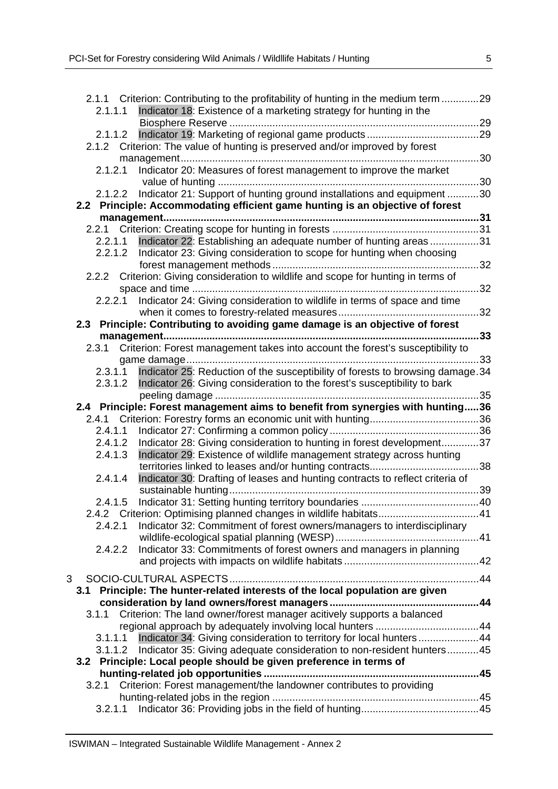| 2.1.1.1 | 2.1.1 Criterion: Contributing to the profitability of hunting in the medium term 29<br>Indicator 18: Existence of a marketing strategy for hunting in the |     |
|---------|-----------------------------------------------------------------------------------------------------------------------------------------------------------|-----|
|         |                                                                                                                                                           |     |
| 2.1.1.2 |                                                                                                                                                           |     |
|         | 2.1.2 Criterion: The value of hunting is preserved and/or improved by forest                                                                              |     |
|         |                                                                                                                                                           | 30  |
| 2.1.2.1 | Indicator 20: Measures of forest management to improve the market                                                                                         |     |
|         |                                                                                                                                                           |     |
|         | Indicator 21: Support of hunting ground installations and equipment 30                                                                                    |     |
| 2.1.2.2 |                                                                                                                                                           |     |
|         | 2.2 Principle: Accommodating efficient game hunting is an objective of forest                                                                             |     |
|         |                                                                                                                                                           |     |
|         |                                                                                                                                                           |     |
| 2.2.1.1 | Indicator 22: Establishing an adequate number of hunting areas31                                                                                          |     |
|         | 2.2.1.2 Indicator 23: Giving consideration to scope for hunting when choosing                                                                             |     |
|         |                                                                                                                                                           | 32  |
|         | 2.2.2 Criterion: Giving consideration to wildlife and scope for hunting in terms of                                                                       |     |
|         |                                                                                                                                                           | 32  |
| 2.2.2.1 | Indicator 24: Giving consideration to wildlife in terms of space and time                                                                                 |     |
|         |                                                                                                                                                           | 32  |
|         | 2.3 Principle: Contributing to avoiding game damage is an objective of forest                                                                             |     |
|         |                                                                                                                                                           | 33  |
|         | 2.3.1 Criterion: Forest management takes into account the forest's susceptibility to                                                                      |     |
|         |                                                                                                                                                           | 33  |
|         |                                                                                                                                                           |     |
| 2.3.1.1 | Indicator 25: Reduction of the susceptibility of forests to browsing damage.34                                                                            |     |
| 2.3.1.2 | Indicator 26: Giving consideration to the forest's susceptibility to bark                                                                                 |     |
|         |                                                                                                                                                           | 35  |
|         | 2.4 Principle: Forest management aims to benefit from synergies with hunting36                                                                            |     |
|         |                                                                                                                                                           |     |
|         |                                                                                                                                                           |     |
| 2.4.1.1 |                                                                                                                                                           |     |
| 2.4.1.2 | Indicator 28: Giving consideration to hunting in forest development37                                                                                     |     |
| 2.4.1.3 | Indicator 29: Existence of wildlife management strategy across hunting                                                                                    |     |
|         |                                                                                                                                                           | .38 |
| 2.4.1.4 |                                                                                                                                                           |     |
|         | Indicator 30: Drafting of leases and hunting contracts to reflect criteria of                                                                             |     |
|         | sustainable hunting                                                                                                                                       |     |
| 2.4.1.5 |                                                                                                                                                           |     |
|         | 2.4.2 Criterion: Optimising planned changes in wildlife habitats41                                                                                        |     |
| 2.4.2.1 | Indicator 32: Commitment of forest owners/managers to interdisciplinary                                                                                   |     |
|         |                                                                                                                                                           |     |
| 2.4.2.2 | Indicator 33: Commitments of forest owners and managers in planning                                                                                       |     |
|         |                                                                                                                                                           |     |
| 3       |                                                                                                                                                           |     |
| 3.1     |                                                                                                                                                           |     |
|         | Principle: The hunter-related interests of the local population are given                                                                                 |     |
|         |                                                                                                                                                           |     |
|         | 3.1.1 Criterion: The land owner/forest manager acitively supports a balanced                                                                              |     |
|         |                                                                                                                                                           |     |
| 3.1.1.1 | Indicator 34: Giving consideration to territory for local hunters 44                                                                                      |     |
| 3.1.1.2 | Indicator 35: Giving adequate consideration to non-resident hunters45                                                                                     |     |
|         | 3.2 Principle: Local people should be given preference in terms of                                                                                        |     |
|         |                                                                                                                                                           |     |
|         | 3.2.1 Criterion: Forest management/the landowner contributes to providing                                                                                 |     |
| 3.2.1.1 |                                                                                                                                                           |     |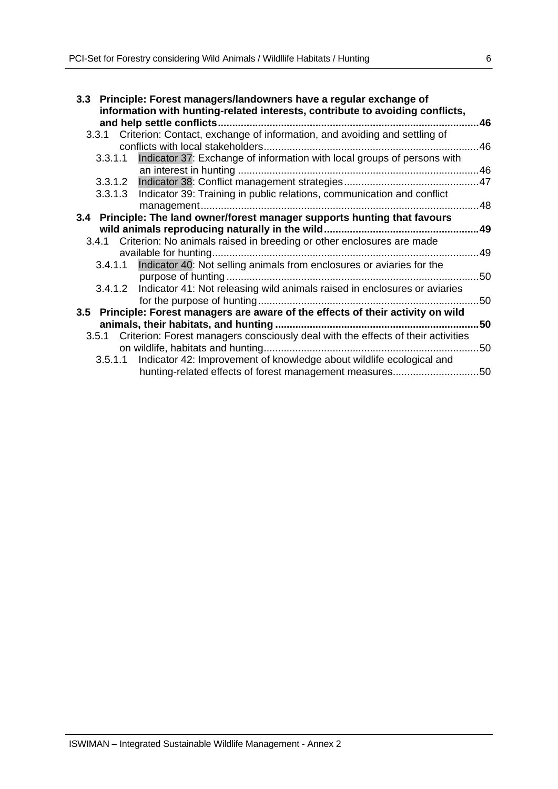| 3.3 Principle: Forest managers/landowners have a regular exchange of<br>information with hunting-related interests, contribute to avoiding conflicts, |     |
|-------------------------------------------------------------------------------------------------------------------------------------------------------|-----|
|                                                                                                                                                       | 46  |
| 3.3.1 Criterion: Contact, exchange of information, and avoiding and settling of                                                                       |     |
|                                                                                                                                                       | 46  |
| Indicator 37: Exchange of information with local groups of persons with<br>3.3.1.1                                                                    |     |
|                                                                                                                                                       |     |
|                                                                                                                                                       |     |
| 3.3.1.3 Indicator 39: Training in public relations, communication and conflict                                                                        |     |
|                                                                                                                                                       |     |
| 3.4 Principle: The land owner/forest manager supports hunting that favours                                                                            |     |
|                                                                                                                                                       | .49 |
| 3.4.1 Criterion: No animals raised in breeding or other enclosures are made                                                                           |     |
|                                                                                                                                                       | 49  |
| 3.4.1.1 Indicator 40: Not selling animals from enclosures or aviaries for the                                                                         |     |
| purpose of hunting                                                                                                                                    | 50  |
| 3.4.1.2 Indicator 41: Not releasing wild animals raised in enclosures or aviaries                                                                     |     |
|                                                                                                                                                       | 50  |
| 3.5 Principle: Forest managers are aware of the effects of their activity on wild                                                                     |     |
|                                                                                                                                                       | 50  |
| 3.5.1 Criterion: Forest managers consciously deal with the effects of their activities                                                                |     |
|                                                                                                                                                       | 50  |
| 3.5.1.1 Indicator 42: Improvement of knowledge about wildlife ecological and                                                                          |     |
| hunting-related effects of forest management measures50                                                                                               |     |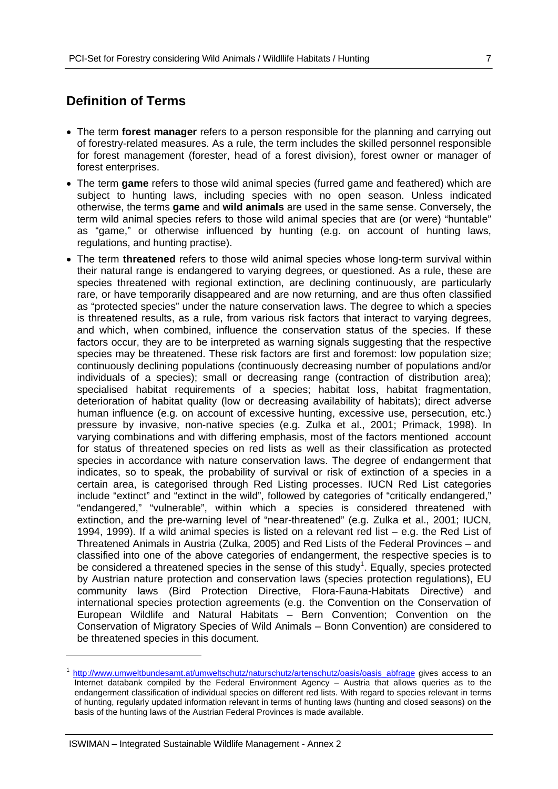## **Definition of Terms**

- The term **forest manager** refers to a person responsible for the planning and carrying out of forestry-related measures. As a rule, the term includes the skilled personnel responsible for forest management (forester, head of a forest division), forest owner or manager of forest enterprises.
- The term **game** refers to those wild animal species (furred game and feathered) which are subject to hunting laws, including species with no open season. Unless indicated otherwise, the terms **game** and **wild animals** are used in the same sense. Conversely, the term wild animal species refers to those wild animal species that are (or were) "huntable" as "game," or otherwise influenced by hunting (e.g. on account of hunting laws, regulations, and hunting practise).
- The term **threatened** refers to those wild animal species whose long-term survival within their natural range is endangered to varying degrees, or questioned. As a rule, these are species threatened with regional extinction, are declining continuously, are particularly rare, or have temporarily disappeared and are now returning, and are thus often classified as "protected species" under the nature conservation laws. The degree to which a species is threatened results, as a rule, from various risk factors that interact to varying degrees, and which, when combined, influence the conservation status of the species. If these factors occur, they are to be interpreted as warning signals suggesting that the respective species may be threatened. These risk factors are first and foremost: low population size; continuously declining populations (continuously decreasing number of populations and/or individuals of a species); small or decreasing range (contraction of distribution area); specialised habitat requirements of a species; habitat loss, habitat fragmentation, deterioration of habitat quality (low or decreasing availability of habitats); direct adverse human influence (e.g. on account of excessive hunting, excessive use, persecution, etc.) pressure by invasive, non-native species (e.g. Zulka et al., 2001; Primack, 1998). In varying combinations and with differing emphasis, most of the factors mentioned account for status of threatened species on red lists as well as their classification as protected species in accordance with nature conservation laws. The degree of endangerment that indicates, so to speak, the probability of survival or risk of extinction of a species in a certain area, is categorised through Red Listing processes. IUCN Red List categories include "extinct" and "extinct in the wild", followed by categories of "critically endangered," "endangered," "vulnerable", within which a species is considered threatened with extinction, and the pre-warning level of "near-threatened" (e.g. Zulka et al., 2001; IUCN, 1994, 1999). If a wild animal species is listed on a relevant red list – e.g. the Red List of Threatened Animals in Austria (Zulka, 2005) and Red Lists of the Federal Provinces – and classified into one of the above categories of endangerment, the respective species is to be considered a threatened species in the sense of this study<sup>1</sup>. Equally, species protected by Austrian nature protection and conservation laws (species protection regulations), EU community laws (Bird Protection Directive, Flora-Fauna-Habitats Directive) and international species protection agreements (e.g. the Convention on the Conservation of European Wildlife and Natural Habitats – Bern Convention; Convention on the Conservation of Migratory Species of Wild Animals – Bonn Convention) are considered to be threatened species in this document.

-

http://www.umweltbundesamt.at/umweltschutz/naturschutz/artenschutz/oasis/oasis\_abfrage gives access to an Internet databank compiled by the Federal Environment Agency – Austria that allows queries as to the endangerment classification of individual species on different red lists. With regard to species relevant in terms of hunting, regularly updated information relevant in terms of hunting laws (hunting and closed seasons) on the basis of the hunting laws of the Austrian Federal Provinces is made available.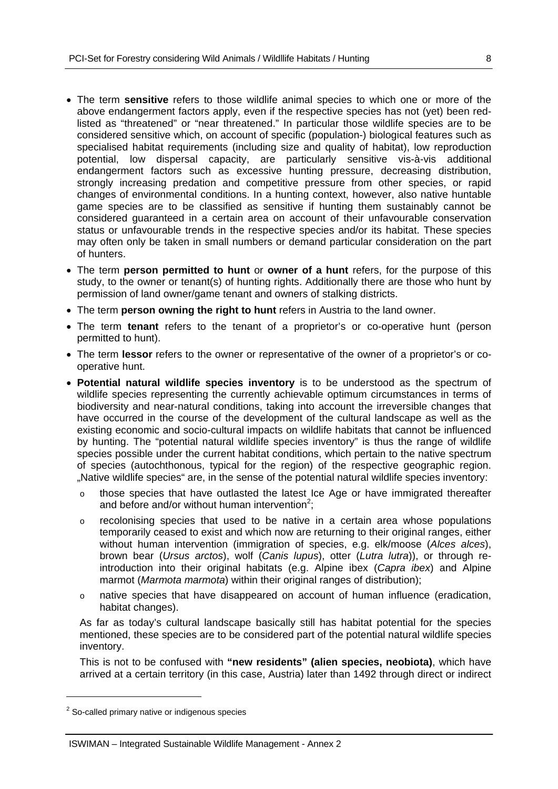- The term **sensitive** refers to those wildlife animal species to which one or more of the above endangerment factors apply, even if the respective species has not (yet) been redlisted as "threatened" or "near threatened." In particular those wildlife species are to be considered sensitive which, on account of specific (population-) biological features such as specialised habitat requirements (including size and quality of habitat), low reproduction potential, low dispersal capacity, are particularly sensitive vis-à-vis additional endangerment factors such as excessive hunting pressure, decreasing distribution, strongly increasing predation and competitive pressure from other species, or rapid changes of environmental conditions. In a hunting context, however, also native huntable game species are to be classified as sensitive if hunting them sustainably cannot be considered guaranteed in a certain area on account of their unfavourable conservation status or unfavourable trends in the respective species and/or its habitat. These species may often only be taken in small numbers or demand particular consideration on the part of hunters.
- The term **person permitted to hunt** or **owner of a hunt** refers, for the purpose of this study, to the owner or tenant(s) of hunting rights. Additionally there are those who hunt by permission of land owner/game tenant and owners of stalking districts.
- The term **person owning the right to hunt** refers in Austria to the land owner.
- The term **tenant** refers to the tenant of a proprietor's or co-operative hunt (person permitted to hunt).
- The term **lessor** refers to the owner or representative of the owner of a proprietor's or cooperative hunt.
- **Potential natural wildlife species inventory** is to be understood as the spectrum of wildlife species representing the currently achievable optimum circumstances in terms of biodiversity and near-natural conditions, taking into account the irreversible changes that have occurred in the course of the development of the cultural landscape as well as the existing economic and socio-cultural impacts on wildlife habitats that cannot be influenced by hunting. The "potential natural wildlife species inventory" is thus the range of wildlife species possible under the current habitat conditions, which pertain to the native spectrum of species (autochthonous, typical for the region) of the respective geographic region. "Native wildlife species" are, in the sense of the potential natural wildlife species inventory:
	- o those species that have outlasted the latest Ice Age or have immigrated thereafter and before and/or without human intervention<sup>2</sup>;
	- o recolonising species that used to be native in a certain area whose populations temporarily ceased to exist and which now are returning to their original ranges, either without human intervention (immigration of species, e.g. elk/moose (*Alces alces*), brown bear (*Ursus arctos*), wolf (*Canis lupus*), otter (*Lutra lutra*)), or through reintroduction into their original habitats (e.g. Alpine ibex (*Capra ibex*) and Alpine marmot (*Marmota marmota*) within their original ranges of distribution);
	- o native species that have disappeared on account of human influence (eradication, habitat changes).

As far as today's cultural landscape basically still has habitat potential for the species mentioned, these species are to be considered part of the potential natural wildlife species inventory.

This is not to be confused with **"new residents" (alien species, neobiota)**, which have arrived at a certain territory (in this case, Austria) later than 1492 through direct or indirect

-

 $2$  So-called primary native or indigenous species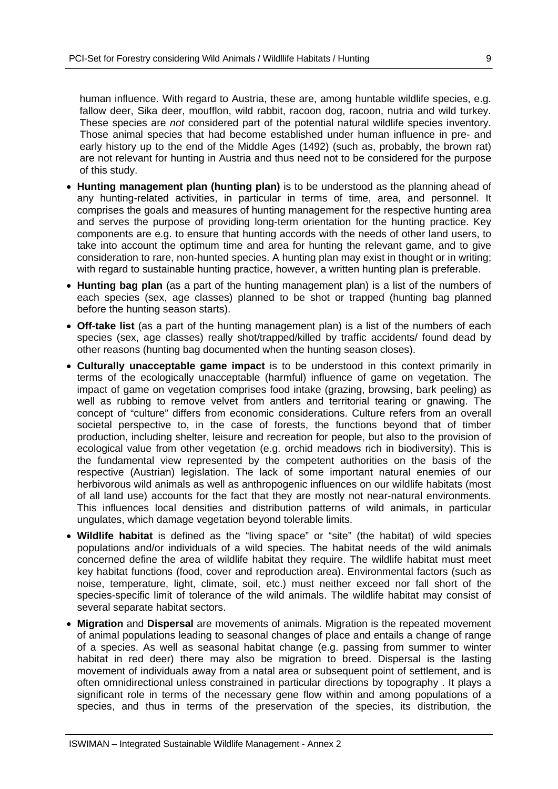human influence. With regard to Austria, these are, among huntable wildlife species, e.g. fallow deer, Sika deer, moufflon, wild rabbit, racoon dog, racoon, nutria and wild turkey. These species are *not* considered part of the potential natural wildlife species inventory. Those animal species that had become established under human influence in pre- and early history up to the end of the Middle Ages (1492) (such as, probably, the brown rat) are not relevant for hunting in Austria and thus need not to be considered for the purpose of this study.

- **Hunting management plan (hunting plan)** is to be understood as the planning ahead of any hunting-related activities, in particular in terms of time, area, and personnel. It comprises the goals and measures of hunting management for the respective hunting area and serves the purpose of providing long-term orientation for the hunting practice. Key components are e.g. to ensure that hunting accords with the needs of other land users, to take into account the optimum time and area for hunting the relevant game, and to give consideration to rare, non-hunted species. A hunting plan may exist in thought or in writing; with regard to sustainable hunting practice, however, a written hunting plan is preferable.
- **Hunting bag plan** (as a part of the hunting management plan) is a list of the numbers of each species (sex, age classes) planned to be shot or trapped (hunting bag planned before the hunting season starts).
- **Off-take list** (as a part of the hunting management plan) is a list of the numbers of each species (sex, age classes) really shot/trapped/killed by traffic accidents/ found dead by other reasons (hunting bag documented when the hunting season closes).
- **Culturally unacceptable game impact** is to be understood in this context primarily in terms of the ecologically unacceptable (harmful) influence of game on vegetation. The impact of game on vegetation comprises food intake (grazing, browsing, bark peeling) as well as rubbing to remove velvet from antlers and territorial tearing or gnawing. The concept of "culture" differs from economic considerations. Culture refers from an overall societal perspective to, in the case of forests, the functions beyond that of timber production, including shelter, leisure and recreation for people, but also to the provision of ecological value from other vegetation (e.g. orchid meadows rich in biodiversity). This is the fundamental view represented by the competent authorities on the basis of the respective (Austrian) legislation. The lack of some important natural enemies of our herbivorous wild animals as well as anthropogenic influences on our wildlife habitats (most of all land use) accounts for the fact that they are mostly not near-natural environments. This influences local densities and distribution patterns of wild animals, in particular ungulates, which damage vegetation beyond tolerable limits.
- **Wildlife habitat** is defined as the "living space" or "site" (the habitat) of wild species populations and/or individuals of a wild species. The habitat needs of the wild animals concerned define the area of wildlife habitat they require. The wildlife habitat must meet key habitat functions (food, cover and reproduction area). Environmental factors (such as noise, temperature, light, climate, soil, etc.) must neither exceed nor fall short of the species-specific limit of tolerance of the wild animals. The wildlife habitat may consist of several separate habitat sectors.
- **Migration** and **Dispersal** are movements of animals. Migration is the repeated movement of animal populations leading to seasonal changes of place and entails a change of range of a species. As well as seasonal habitat change (e.g. passing from summer to winter habitat in red deer) there may also be migration to breed. Dispersal is the lasting movement of individuals away from a natal area or subsequent point of settlement, and is often omnidirectional unless constrained in particular directions by topography . It plays a significant role in terms of the necessary gene flow within and among populations of a species, and thus in terms of the preservation of the species, its distribution, the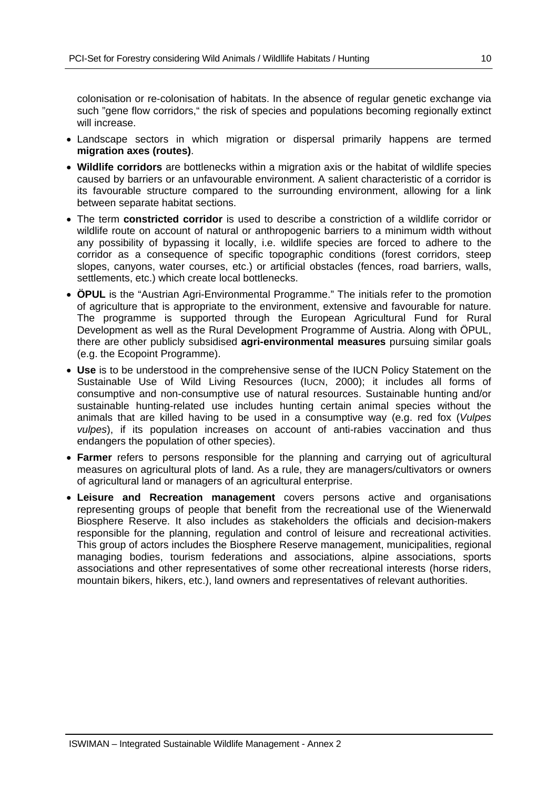colonisation or re-colonisation of habitats. In the absence of regular genetic exchange via such "gene flow corridors," the risk of species and populations becoming regionally extinct will increase.

- Landscape sectors in which migration or dispersal primarily happens are termed **migration axes (routes)**.
- **Wildlife corridors** are bottlenecks within a migration axis or the habitat of wildlife species caused by barriers or an unfavourable environment. A salient characteristic of a corridor is its favourable structure compared to the surrounding environment, allowing for a link between separate habitat sections.
- The term **constricted corridor** is used to describe a constriction of a wildlife corridor or wildlife route on account of natural or anthropogenic barriers to a minimum width without any possibility of bypassing it locally, i.e. wildlife species are forced to adhere to the corridor as a consequence of specific topographic conditions (forest corridors, steep slopes, canyons, water courses, etc.) or artificial obstacles (fences, road barriers, walls, settlements, etc.) which create local bottlenecks.
- **ÖPUL** is the "Austrian Agri-Environmental Programme." The initials refer to the promotion of agriculture that is appropriate to the environment, extensive and favourable for nature. The programme is supported through the European Agricultural Fund for Rural Development as well as the Rural Development Programme of Austria. Along with ÖPUL, there are other publicly subsidised **agri-environmental measures** pursuing similar goals (e.g. the Ecopoint Programme).
- **Use** is to be understood in the comprehensive sense of the IUCN Policy Statement on the Sustainable Use of Wild Living Resources (IUCN, 2000); it includes all forms of consumptive and non-consumptive use of natural resources. Sustainable hunting and/or sustainable hunting-related use includes hunting certain animal species without the animals that are killed having to be used in a consumptive way (e.g. red fox (*Vulpes vulpes*), if its population increases on account of anti-rabies vaccination and thus endangers the population of other species).
- **Farmer** refers to persons responsible for the planning and carrying out of agricultural measures on agricultural plots of land. As a rule, they are managers/cultivators or owners of agricultural land or managers of an agricultural enterprise.
- **Leisure and Recreation management** covers persons active and organisations representing groups of people that benefit from the recreational use of the Wienerwald Biosphere Reserve. It also includes as stakeholders the officials and decision-makers responsible for the planning, regulation and control of leisure and recreational activities. This group of actors includes the Biosphere Reserve management, municipalities, regional managing bodies, tourism federations and associations, alpine associations, sports associations and other representatives of some other recreational interests (horse riders, mountain bikers, hikers, etc.), land owners and representatives of relevant authorities.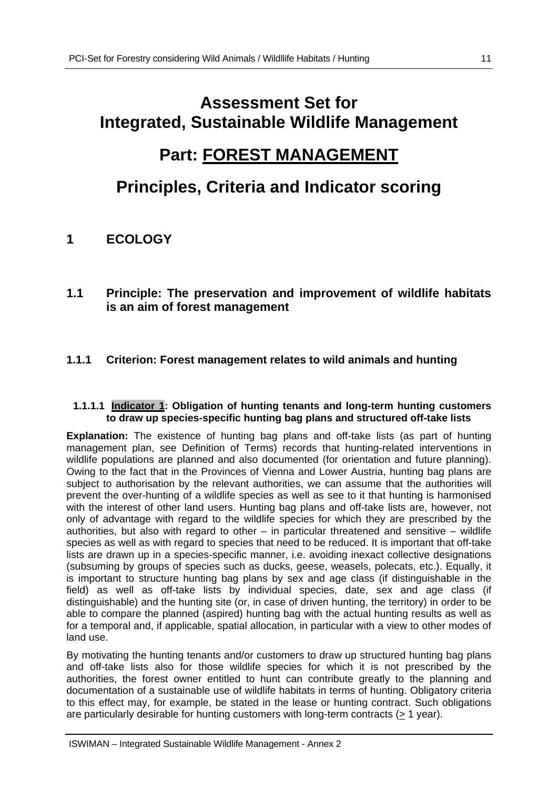# **Assessment Set for Integrated, Sustainable Wildlife Management**

# **Part: FOREST MANAGEMENT**

# **Principles, Criteria and Indicator scoring**

## **1 ECOLOGY**

**1.1 Principle: The preservation and improvement of wildlife habitats is an aim of forest management** 

### **1.1.1 Criterion: Forest management relates to wild animals and hunting**

#### **1.1.1.1 Indicator 1: Obligation of hunting tenants and long-term hunting customers to draw up species-specific hunting bag plans and structured off-take lists**

**Explanation:** The existence of hunting bag plans and off-take lists (as part of hunting management plan, see Definition of Terms) records that hunting-related interventions in wildlife populations are planned and also documented (for orientation and future planning). Owing to the fact that in the Provinces of Vienna and Lower Austria, hunting bag plans are subject to authorisation by the relevant authorities, we can assume that the authorities will prevent the over-hunting of a wildlife species as well as see to it that hunting is harmonised with the interest of other land users. Hunting bag plans and off-take lists are, however, not only of advantage with regard to the wildlife species for which they are prescribed by the authorities, but also with regard to other – in particular threatened and sensitive – wildlife species as well as with regard to species that need to be reduced. It is important that off-take lists are drawn up in a species-specific manner, i.e. avoiding inexact collective designations (subsuming by groups of species such as ducks, geese, weasels, polecats, etc.). Equally, it is important to structure hunting bag plans by sex and age class (if distinguishable in the field) as well as off-take lists by individual species, date, sex and age class (if distinguishable) and the hunting site (or, in case of driven hunting, the territory) in order to be able to compare the planned (aspired) hunting bag with the actual hunting results as well as for a temporal and, if applicable, spatial allocation, in particular with a view to other modes of land use.

By motivating the hunting tenants and/or customers to draw up structured hunting bag plans and off-take lists also for those wildlife species for which it is not prescribed by the authorities, the forest owner entitled to hunt can contribute greatly to the planning and documentation of a sustainable use of wildlife habitats in terms of hunting. Obligatory criteria to this effect may, for example, be stated in the lease or hunting contract. Such obligations are particularly desirable for hunting customers with long-term contracts (> 1 year).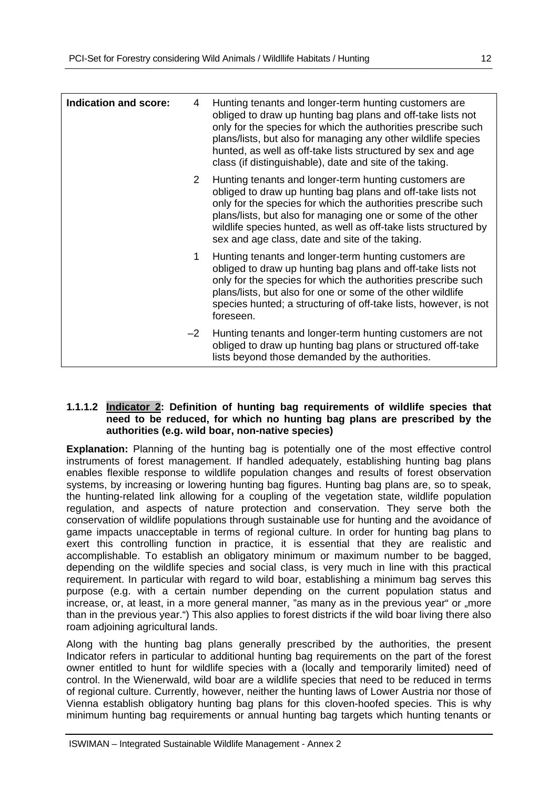| <b>Indication and score:</b> | 4    | Hunting tenants and longer-term hunting customers are<br>obliged to draw up hunting bag plans and off-take lists not<br>only for the species for which the authorities prescribe such<br>plans/lists, but also for managing any other wildlife species<br>hunted, as well as off-take lists structured by sex and age<br>class (if distinguishable), date and site of the taking. |
|------------------------------|------|-----------------------------------------------------------------------------------------------------------------------------------------------------------------------------------------------------------------------------------------------------------------------------------------------------------------------------------------------------------------------------------|
|                              | 2    | Hunting tenants and longer-term hunting customers are<br>obliged to draw up hunting bag plans and off-take lists not<br>only for the species for which the authorities prescribe such<br>plans/lists, but also for managing one or some of the other<br>wildlife species hunted, as well as off-take lists structured by<br>sex and age class, date and site of the taking.       |
|                              | 1    | Hunting tenants and longer-term hunting customers are<br>obliged to draw up hunting bag plans and off-take lists not<br>only for the species for which the authorities prescribe such<br>plans/lists, but also for one or some of the other wildlife<br>species hunted; a structuring of off-take lists, however, is not<br>foreseen.                                             |
|                              | $-2$ | Hunting tenants and longer-term hunting customers are not<br>obliged to draw up hunting bag plans or structured off-take<br>lists beyond those demanded by the authorities.                                                                                                                                                                                                       |

#### **1.1.1.2 Indicator 2: Definition of hunting bag requirements of wildlife species that need to be reduced, for which no hunting bag plans are prescribed by the authorities (e.g. wild boar, non-native species)**

**Explanation:** Planning of the hunting bag is potentially one of the most effective control instruments of forest management. If handled adequately, establishing hunting bag plans enables flexible response to wildlife population changes and results of forest observation systems, by increasing or lowering hunting bag figures. Hunting bag plans are, so to speak, the hunting-related link allowing for a coupling of the vegetation state, wildlife population regulation, and aspects of nature protection and conservation. They serve both the conservation of wildlife populations through sustainable use for hunting and the avoidance of game impacts unacceptable in terms of regional culture. In order for hunting bag plans to exert this controlling function in practice, it is essential that they are realistic and accomplishable. To establish an obligatory minimum or maximum number to be bagged, depending on the wildlife species and social class, is very much in line with this practical requirement. In particular with regard to wild boar, establishing a minimum bag serves this purpose (e.g. with a certain number depending on the current population status and increase, or, at least, in a more general manner, "as many as in the previous year" or "more than in the previous year.") This also applies to forest districts if the wild boar living there also roam adjoining agricultural lands.

Along with the hunting bag plans generally prescribed by the authorities, the present Indicator refers in particular to additional hunting bag requirements on the part of the forest owner entitled to hunt for wildlife species with a (locally and temporarily limited) need of control. In the Wienerwald, wild boar are a wildlife species that need to be reduced in terms of regional culture. Currently, however, neither the hunting laws of Lower Austria nor those of Vienna establish obligatory hunting bag plans for this cloven-hoofed species. This is why minimum hunting bag requirements or annual hunting bag targets which hunting tenants or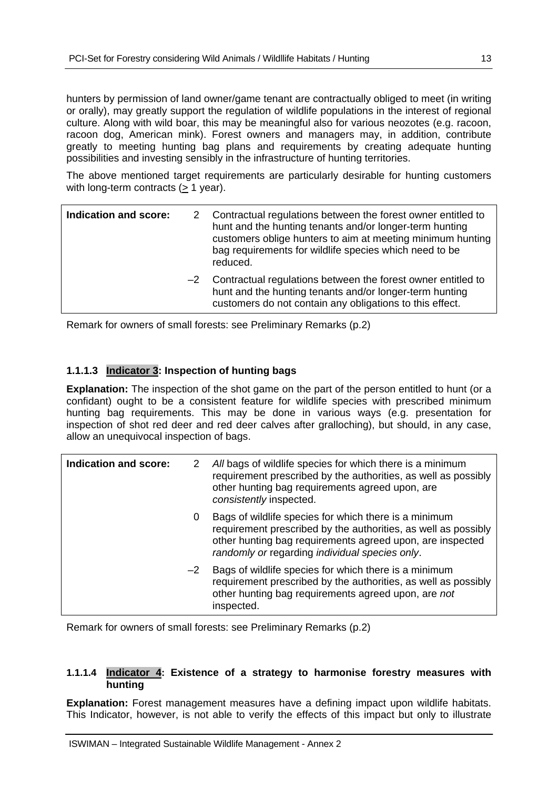hunters by permission of land owner/game tenant are contractually obliged to meet (in writing or orally), may greatly support the regulation of wildlife populations in the interest of regional culture. Along with wild boar, this may be meaningful also for various neozotes (e.g. racoon, racoon dog, American mink). Forest owners and managers may, in addition, contribute greatly to meeting hunting bag plans and requirements by creating adequate hunting possibilities and investing sensibly in the infrastructure of hunting territories.

The above mentioned target requirements are particularly desirable for hunting customers with long-term contracts (> 1 year).

| Indication and score: | 2 Contractual regulations between the forest owner entitled to<br>hunt and the hunting tenants and/or longer-term hunting<br>customers oblige hunters to aim at meeting minimum hunting<br>bag requirements for wildlife species which need to be<br>reduced. |
|-----------------------|---------------------------------------------------------------------------------------------------------------------------------------------------------------------------------------------------------------------------------------------------------------|
|                       | -2 Contractual regulations between the forest owner entitled to<br>hunt and the hunting tenants and/or longer-term hunting<br>customers do not contain any obligations to this effect.                                                                        |

Remark for owners of small forests: see Preliminary Remarks (p.2)

#### **1.1.1.3 Indicator 3: Inspection of hunting bags**

**Explanation:** The inspection of the shot game on the part of the person entitled to hunt (or a confidant) ought to be a consistent feature for wildlife species with prescribed minimum hunting bag requirements. This may be done in various ways (e.g. presentation for inspection of shot red deer and red deer calves after gralloching), but should, in any case, allow an unequivocal inspection of bags.

| Indication and score: | 2    | All bags of wildlife species for which there is a minimum<br>requirement prescribed by the authorities, as well as possibly<br>other hunting bag requirements agreed upon, are<br>consistently inspected.                              |
|-----------------------|------|----------------------------------------------------------------------------------------------------------------------------------------------------------------------------------------------------------------------------------------|
|                       | 0    | Bags of wildlife species for which there is a minimum<br>requirement prescribed by the authorities, as well as possibly<br>other hunting bag requirements agreed upon, are inspected<br>randomly or regarding individual species only. |
|                       | $-2$ | Bags of wildlife species for which there is a minimum<br>requirement prescribed by the authorities, as well as possibly<br>other hunting bag requirements agreed upon, are not<br>inspected.                                           |

Remark for owners of small forests: see Preliminary Remarks (p.2)

#### **1.1.1.4 Indicator 4: Existence of a strategy to harmonise forestry measures with hunting**

**Explanation:** Forest management measures have a defining impact upon wildlife habitats. This Indicator, however, is not able to verify the effects of this impact but only to illustrate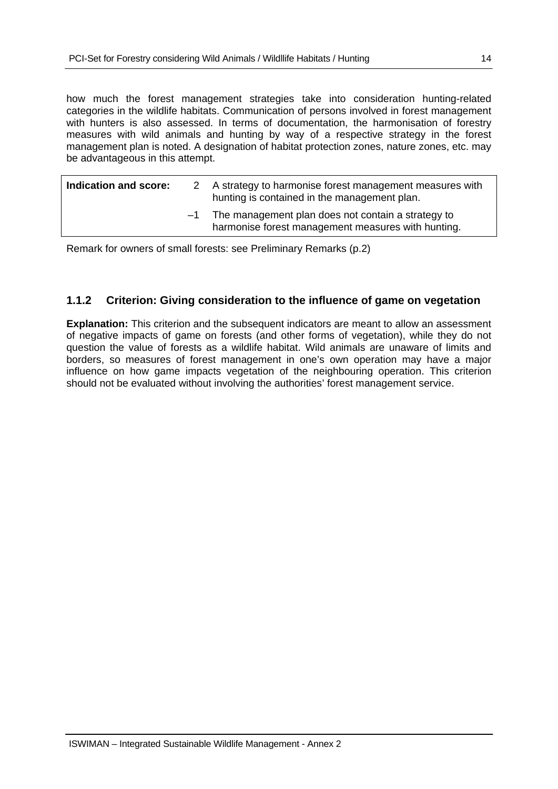how much the forest management strategies take into consideration hunting-related categories in the wildlife habitats. Communication of persons involved in forest management with hunters is also assessed. In terms of documentation, the harmonisation of forestry measures with wild animals and hunting by way of a respective strategy in the forest management plan is noted. A designation of habitat protection zones, nature zones, etc. may be advantageous in this attempt.

|                                                                                                                  | 2 A strategy to harmonise forest management measures with<br>hunting is contained in the management plan. |
|------------------------------------------------------------------------------------------------------------------|-----------------------------------------------------------------------------------------------------------|
| The management plan does not contain a strategy to<br>$-1$<br>harmonise forest management measures with hunting. |                                                                                                           |

Remark for owners of small forests: see Preliminary Remarks (p.2)

### **1.1.2 Criterion: Giving consideration to the influence of game on vegetation**

**Explanation:** This criterion and the subsequent indicators are meant to allow an assessment of negative impacts of game on forests (and other forms of vegetation), while they do not question the value of forests as a wildlife habitat. Wild animals are unaware of limits and borders, so measures of forest management in one's own operation may have a major influence on how game impacts vegetation of the neighbouring operation. This criterion should not be evaluated without involving the authorities' forest management service.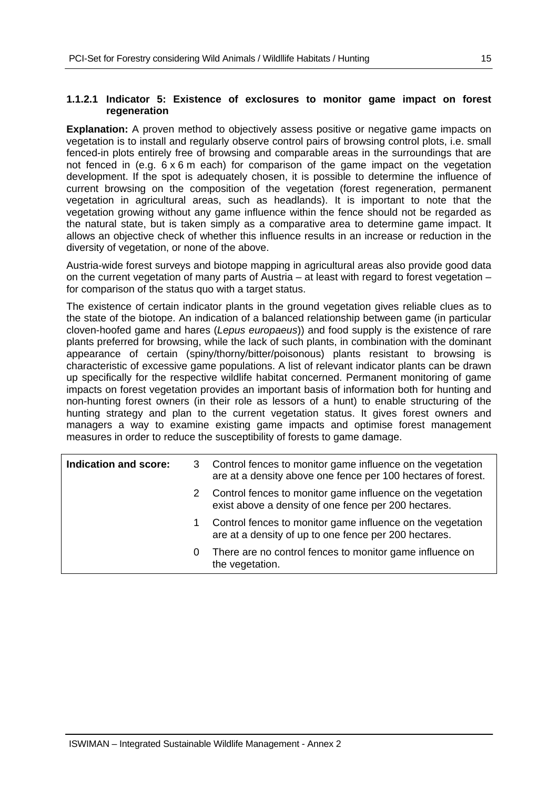#### **1.1.2.1 Indicator 5: Existence of exclosures to monitor game impact on forest regeneration**

**Explanation:** A proven method to objectively assess positive or negative game impacts on vegetation is to install and regularly observe control pairs of browsing control plots, i.e. small fenced-in plots entirely free of browsing and comparable areas in the surroundings that are not fenced in (e.g.  $6 \times 6$  m each) for comparison of the game impact on the vegetation development. If the spot is adequately chosen, it is possible to determine the influence of current browsing on the composition of the vegetation (forest regeneration, permanent vegetation in agricultural areas, such as headlands). It is important to note that the vegetation growing without any game influence within the fence should not be regarded as the natural state, but is taken simply as a comparative area to determine game impact. It allows an objective check of whether this influence results in an increase or reduction in the diversity of vegetation, or none of the above.

Austria-wide forest surveys and biotope mapping in agricultural areas also provide good data on the current vegetation of many parts of Austria – at least with regard to forest vegetation – for comparison of the status quo with a target status.

The existence of certain indicator plants in the ground vegetation gives reliable clues as to the state of the biotope. An indication of a balanced relationship between game (in particular cloven-hoofed game and hares (*Lepus europaeus*)) and food supply is the existence of rare plants preferred for browsing, while the lack of such plants, in combination with the dominant appearance of certain (spiny/thorny/bitter/poisonous) plants resistant to browsing is characteristic of excessive game populations. A list of relevant indicator plants can be drawn up specifically for the respective wildlife habitat concerned. Permanent monitoring of game impacts on forest vegetation provides an important basis of information both for hunting and non-hunting forest owners (in their role as lessors of a hunt) to enable structuring of the hunting strategy and plan to the current vegetation status. It gives forest owners and managers a way to examine existing game impacts and optimise forest management measures in order to reduce the susceptibility of forests to game damage.

| Indication and score: | 3 | Control fences to monitor game influence on the vegetation<br>are at a density above one fence per 100 hectares of forest. |
|-----------------------|---|----------------------------------------------------------------------------------------------------------------------------|
|                       | 2 | Control fences to monitor game influence on the vegetation<br>exist above a density of one fence per 200 hectares.         |
|                       | 1 | Control fences to monitor game influence on the vegetation<br>are at a density of up to one fence per 200 hectares.        |
|                       | 0 | There are no control fences to monitor game influence on<br>the vegetation.                                                |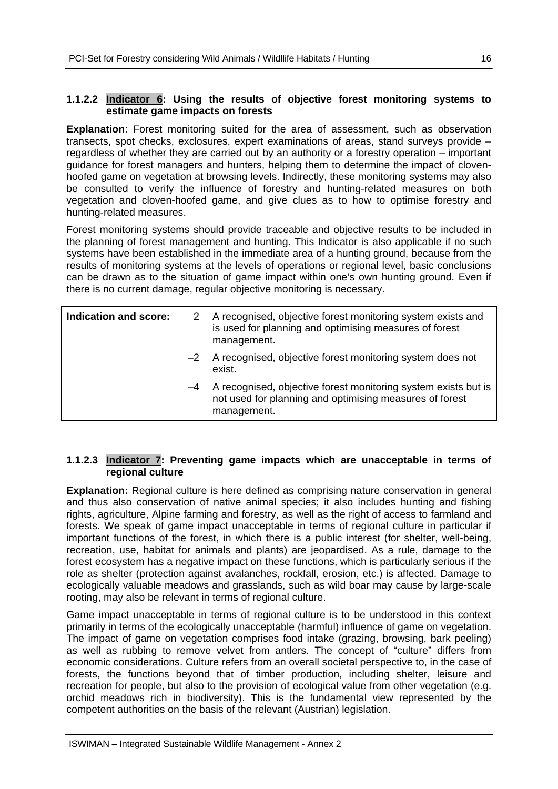#### **1.1.2.2 Indicator 6: Using the results of objective forest monitoring systems to estimate game impacts on forests**

**Explanation**: Forest monitoring suited for the area of assessment, such as observation transects, spot checks, exclosures, expert examinations of areas, stand surveys provide – regardless of whether they are carried out by an authority or a forestry operation – important guidance for forest managers and hunters, helping them to determine the impact of clovenhoofed game on vegetation at browsing levels. Indirectly, these monitoring systems may also be consulted to verify the influence of forestry and hunting-related measures on both vegetation and cloven-hoofed game, and give clues as to how to optimise forestry and hunting-related measures.

Forest monitoring systems should provide traceable and objective results to be included in the planning of forest management and hunting. This Indicator is also applicable if no such systems have been established in the immediate area of a hunting ground, because from the results of monitoring systems at the levels of operations or regional level, basic conclusions can be drawn as to the situation of game impact within one's own hunting ground. Even if there is no current damage, regular objective monitoring is necessary.

| Indication and score: |      | A recognised, objective forest monitoring system exists and<br>is used for planning and optimising measures of forest<br>management.     |
|-----------------------|------|------------------------------------------------------------------------------------------------------------------------------------------|
|                       |      | -2 A recognised, objective forest monitoring system does not<br>exist.                                                                   |
|                       | $-4$ | A recognised, objective forest monitoring system exists but is<br>not used for planning and optimising measures of forest<br>management. |

#### **1.1.2.3 Indicator 7: Preventing game impacts which are unacceptable in terms of regional culture**

**Explanation:** Regional culture is here defined as comprising nature conservation in general and thus also conservation of native animal species; it also includes hunting and fishing rights, agriculture, Alpine farming and forestry, as well as the right of access to farmland and forests. We speak of game impact unacceptable in terms of regional culture in particular if important functions of the forest, in which there is a public interest (for shelter, well-being, recreation, use, habitat for animals and plants) are jeopardised. As a rule, damage to the forest ecosystem has a negative impact on these functions, which is particularly serious if the role as shelter (protection against avalanches, rockfall, erosion, etc.) is affected. Damage to ecologically valuable meadows and grasslands, such as wild boar may cause by large-scale rooting, may also be relevant in terms of regional culture.

Game impact unacceptable in terms of regional culture is to be understood in this context primarily in terms of the ecologically unacceptable (harmful) influence of game on vegetation. The impact of game on vegetation comprises food intake (grazing, browsing, bark peeling) as well as rubbing to remove velvet from antlers. The concept of "culture" differs from economic considerations. Culture refers from an overall societal perspective to, in the case of forests, the functions beyond that of timber production, including shelter, leisure and recreation for people, but also to the provision of ecological value from other vegetation (e.g. orchid meadows rich in biodiversity). This is the fundamental view represented by the competent authorities on the basis of the relevant (Austrian) legislation.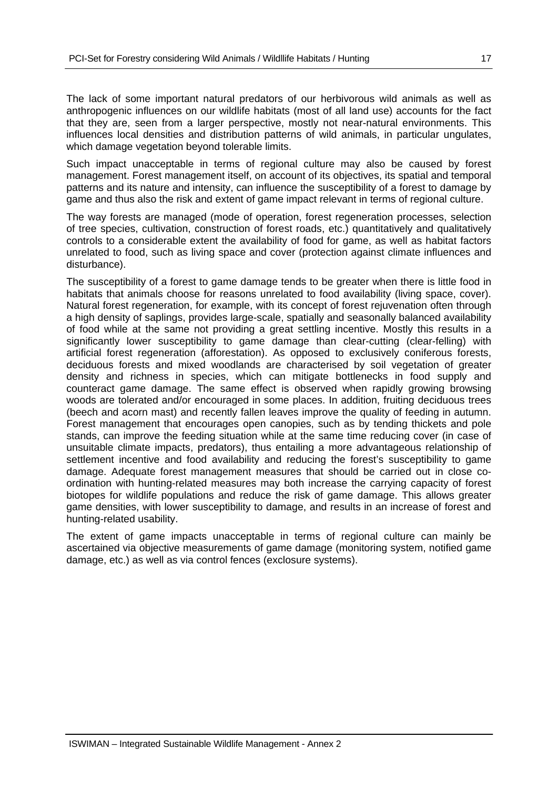The lack of some important natural predators of our herbivorous wild animals as well as anthropogenic influences on our wildlife habitats (most of all land use) accounts for the fact that they are, seen from a larger perspective, mostly not near-natural environments. This influences local densities and distribution patterns of wild animals, in particular ungulates, which damage vegetation beyond tolerable limits.

Such impact unacceptable in terms of regional culture may also be caused by forest management. Forest management itself, on account of its objectives, its spatial and temporal patterns and its nature and intensity, can influence the susceptibility of a forest to damage by game and thus also the risk and extent of game impact relevant in terms of regional culture.

The way forests are managed (mode of operation, forest regeneration processes, selection of tree species, cultivation, construction of forest roads, etc.) quantitatively and qualitatively controls to a considerable extent the availability of food for game, as well as habitat factors unrelated to food, such as living space and cover (protection against climate influences and disturbance).

The susceptibility of a forest to game damage tends to be greater when there is little food in habitats that animals choose for reasons unrelated to food availability (living space, cover). Natural forest regeneration, for example, with its concept of forest rejuvenation often through a high density of saplings, provides large-scale, spatially and seasonally balanced availability of food while at the same not providing a great settling incentive. Mostly this results in a significantly lower susceptibility to game damage than clear-cutting (clear-felling) with artificial forest regeneration (afforestation). As opposed to exclusively coniferous forests, deciduous forests and mixed woodlands are characterised by soil vegetation of greater density and richness in species, which can mitigate bottlenecks in food supply and counteract game damage. The same effect is observed when rapidly growing browsing woods are tolerated and/or encouraged in some places. In addition, fruiting deciduous trees (beech and acorn mast) and recently fallen leaves improve the quality of feeding in autumn. Forest management that encourages open canopies, such as by tending thickets and pole stands, can improve the feeding situation while at the same time reducing cover (in case of unsuitable climate impacts, predators), thus entailing a more advantageous relationship of settlement incentive and food availability and reducing the forest's susceptibility to game damage. Adequate forest management measures that should be carried out in close coordination with hunting-related measures may both increase the carrying capacity of forest biotopes for wildlife populations and reduce the risk of game damage. This allows greater game densities, with lower susceptibility to damage, and results in an increase of forest and hunting-related usability.

The extent of game impacts unacceptable in terms of regional culture can mainly be ascertained via objective measurements of game damage (monitoring system, notified game damage, etc.) as well as via control fences (exclosure systems).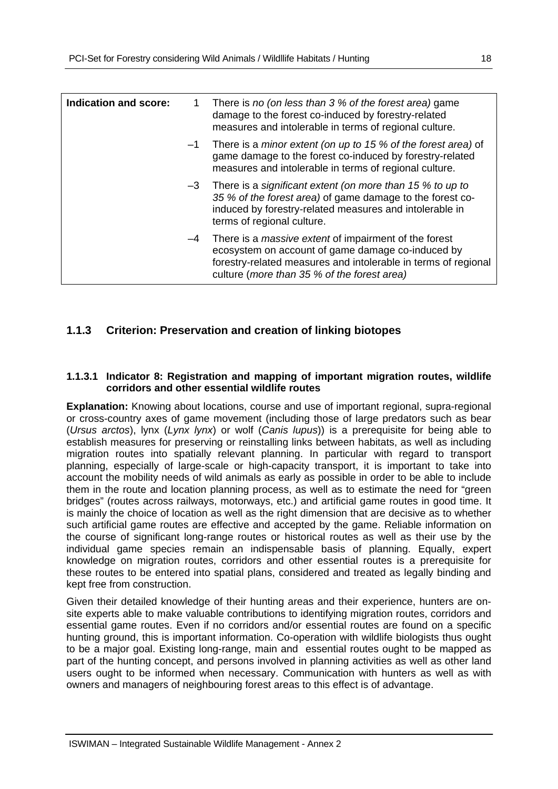| <b>Indication and score:</b> |      | There is no (on less than 3 % of the forest area) game<br>damage to the forest co-induced by forestry-related<br>measures and intolerable in terms of regional culture.                                                            |
|------------------------------|------|------------------------------------------------------------------------------------------------------------------------------------------------------------------------------------------------------------------------------------|
|                              | $-1$ | There is a minor extent (on up to 15 % of the forest area) of<br>game damage to the forest co-induced by forestry-related<br>measures and intolerable in terms of regional culture.                                                |
|                              | $-3$ | There is a significant extent (on more than 15 % to up to<br>35 % of the forest area) of game damage to the forest co-<br>induced by forestry-related measures and intolerable in<br>terms of regional culture.                    |
|                              | -4   | There is a <i>massive extent</i> of impairment of the forest<br>ecosystem on account of game damage co-induced by<br>forestry-related measures and intolerable in terms of regional<br>culture (more than 35 % of the forest area) |

### **1.1.3 Criterion: Preservation and creation of linking biotopes**

#### **1.1.3.1 Indicator 8: Registration and mapping of important migration routes, wildlife corridors and other essential wildlife routes**

**Explanation:** Knowing about locations, course and use of important regional, supra-regional or cross-country axes of game movement (including those of large predators such as bear (*Ursus arctos*), lynx (*Lynx lynx*) or wolf (*Canis lupus*)) is a prerequisite for being able to establish measures for preserving or reinstalling links between habitats, as well as including migration routes into spatially relevant planning. In particular with regard to transport planning, especially of large-scale or high-capacity transport, it is important to take into account the mobility needs of wild animals as early as possible in order to be able to include them in the route and location planning process, as well as to estimate the need for "green bridges" (routes across railways, motorways, etc.) and artificial game routes in good time. It is mainly the choice of location as well as the right dimension that are decisive as to whether such artificial game routes are effective and accepted by the game. Reliable information on the course of significant long-range routes or historical routes as well as their use by the individual game species remain an indispensable basis of planning. Equally, expert knowledge on migration routes, corridors and other essential routes is a prerequisite for these routes to be entered into spatial plans, considered and treated as legally binding and kept free from construction.

Given their detailed knowledge of their hunting areas and their experience, hunters are onsite experts able to make valuable contributions to identifying migration routes, corridors and essential game routes. Even if no corridors and/or essential routes are found on a specific hunting ground, this is important information. Co-operation with wildlife biologists thus ought to be a major goal. Existing long-range, main and essential routes ought to be mapped as part of the hunting concept, and persons involved in planning activities as well as other land users ought to be informed when necessary. Communication with hunters as well as with owners and managers of neighbouring forest areas to this effect is of advantage.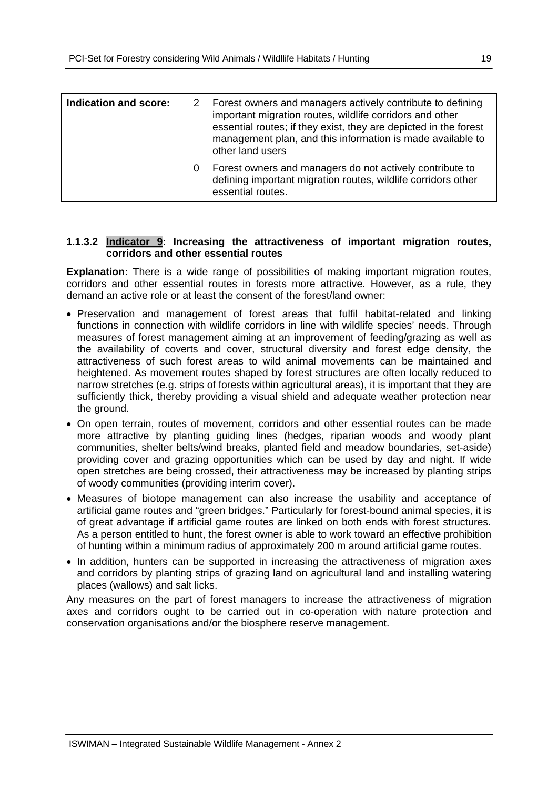| Indication and score: |   | 2 Forest owners and managers actively contribute to defining<br>important migration routes, wildlife corridors and other<br>essential routes; if they exist, they are depicted in the forest<br>management plan, and this information is made available to<br>other land users |
|-----------------------|---|--------------------------------------------------------------------------------------------------------------------------------------------------------------------------------------------------------------------------------------------------------------------------------|
|                       | 0 | Forest owners and managers do not actively contribute to<br>defining important migration routes, wildlife corridors other<br>essential routes.                                                                                                                                 |

#### **1.1.3.2 Indicator 9: Increasing the attractiveness of important migration routes, corridors and other essential routes**

**Explanation:** There is a wide range of possibilities of making important migration routes, corridors and other essential routes in forests more attractive. However, as a rule, they demand an active role or at least the consent of the forest/land owner:

- Preservation and management of forest areas that fulfil habitat-related and linking functions in connection with wildlife corridors in line with wildlife species' needs. Through measures of forest management aiming at an improvement of feeding/grazing as well as the availability of coverts and cover, structural diversity and forest edge density, the attractiveness of such forest areas to wild animal movements can be maintained and heightened. As movement routes shaped by forest structures are often locally reduced to narrow stretches (e.g. strips of forests within agricultural areas), it is important that they are sufficiently thick, thereby providing a visual shield and adequate weather protection near the ground.
- On open terrain, routes of movement, corridors and other essential routes can be made more attractive by planting guiding lines (hedges, riparian woods and woody plant communities, shelter belts/wind breaks, planted field and meadow boundaries, set-aside) providing cover and grazing opportunities which can be used by day and night. If wide open stretches are being crossed, their attractiveness may be increased by planting strips of woody communities (providing interim cover).
- Measures of biotope management can also increase the usability and acceptance of artificial game routes and "green bridges." Particularly for forest-bound animal species, it is of great advantage if artificial game routes are linked on both ends with forest structures. As a person entitled to hunt, the forest owner is able to work toward an effective prohibition of hunting within a minimum radius of approximately 200 m around artificial game routes.
- In addition, hunters can be supported in increasing the attractiveness of migration axes and corridors by planting strips of grazing land on agricultural land and installing watering places (wallows) and salt licks.

Any measures on the part of forest managers to increase the attractiveness of migration axes and corridors ought to be carried out in co-operation with nature protection and conservation organisations and/or the biosphere reserve management.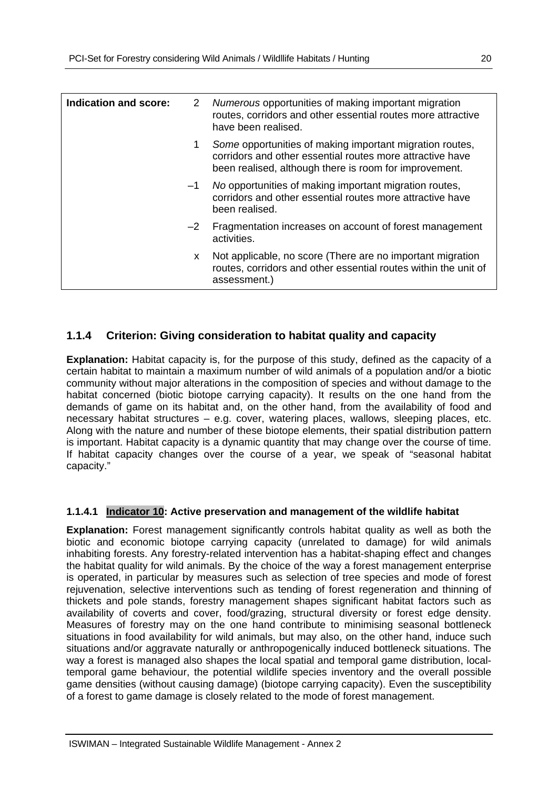| Indication and score: | 2    | Numerous opportunities of making important migration<br>routes, corridors and other essential routes more attractive<br>have been realised.                                     |
|-----------------------|------|---------------------------------------------------------------------------------------------------------------------------------------------------------------------------------|
|                       |      | Some opportunities of making important migration routes,<br>corridors and other essential routes more attractive have<br>been realised, although there is room for improvement. |
|                       | $-1$ | No opportunities of making important migration routes,<br>corridors and other essential routes more attractive have<br>been realised.                                           |
|                       | $-2$ | Fragmentation increases on account of forest management<br>activities.                                                                                                          |
|                       | X.   | Not applicable, no score (There are no important migration<br>routes, corridors and other essential routes within the unit of<br>assessment.)                                   |

#### **1.1.4 Criterion: Giving consideration to habitat quality and capacity**

**Explanation:** Habitat capacity is, for the purpose of this study, defined as the capacity of a certain habitat to maintain a maximum number of wild animals of a population and/or a biotic community without major alterations in the composition of species and without damage to the habitat concerned (biotic biotope carrying capacity). It results on the one hand from the demands of game on its habitat and, on the other hand, from the availability of food and necessary habitat structures – e.g. cover, watering places, wallows, sleeping places, etc. Along with the nature and number of these biotope elements, their spatial distribution pattern is important. Habitat capacity is a dynamic quantity that may change over the course of time. If habitat capacity changes over the course of a year, we speak of "seasonal habitat capacity."

#### **1.1.4.1 Indicator 10: Active preservation and management of the wildlife habitat**

**Explanation:** Forest management significantly controls habitat quality as well as both the biotic and economic biotope carrying capacity (unrelated to damage) for wild animals inhabiting forests. Any forestry-related intervention has a habitat-shaping effect and changes the habitat quality for wild animals. By the choice of the way a forest management enterprise is operated, in particular by measures such as selection of tree species and mode of forest rejuvenation, selective interventions such as tending of forest regeneration and thinning of thickets and pole stands, forestry management shapes significant habitat factors such as availability of coverts and cover, food/grazing, structural diversity or forest edge density. Measures of forestry may on the one hand contribute to minimising seasonal bottleneck situations in food availability for wild animals, but may also, on the other hand, induce such situations and/or aggravate naturally or anthropogenically induced bottleneck situations. The way a forest is managed also shapes the local spatial and temporal game distribution, localtemporal game behaviour, the potential wildlife species inventory and the overall possible game densities (without causing damage) (biotope carrying capacity). Even the susceptibility of a forest to game damage is closely related to the mode of forest management.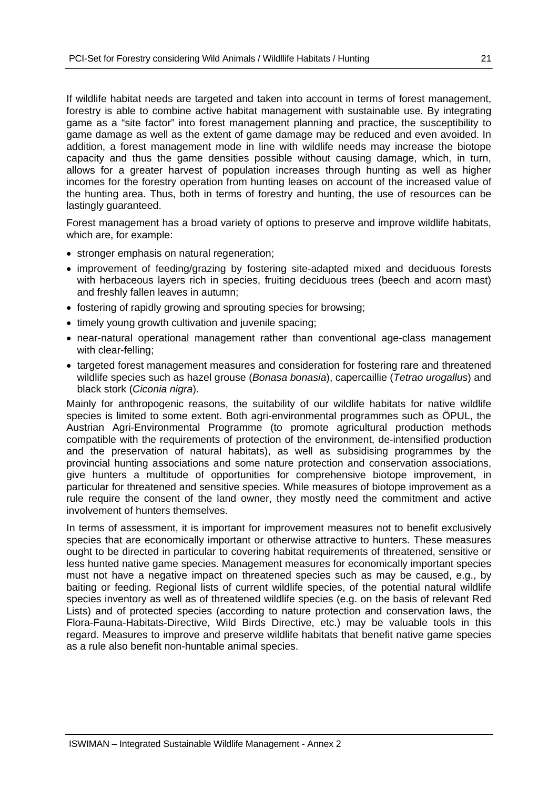If wildlife habitat needs are targeted and taken into account in terms of forest management, forestry is able to combine active habitat management with sustainable use. By integrating game as a "site factor" into forest management planning and practice, the susceptibility to game damage as well as the extent of game damage may be reduced and even avoided. In addition, a forest management mode in line with wildlife needs may increase the biotope capacity and thus the game densities possible without causing damage, which, in turn, allows for a greater harvest of population increases through hunting as well as higher incomes for the forestry operation from hunting leases on account of the increased value of the hunting area. Thus, both in terms of forestry and hunting, the use of resources can be lastingly guaranteed.

Forest management has a broad variety of options to preserve and improve wildlife habitats, which are, for example:

- stronger emphasis on natural regeneration:
- improvement of feeding/grazing by fostering site-adapted mixed and deciduous forests with herbaceous layers rich in species, fruiting deciduous trees (beech and acorn mast) and freshly fallen leaves in autumn;
- fostering of rapidly growing and sprouting species for browsing;
- timely young growth cultivation and juvenile spacing;
- near-natural operational management rather than conventional age-class management with clear-felling;
- targeted forest management measures and consideration for fostering rare and threatened wildlife species such as hazel grouse (*Bonasa bonasia*), capercaillie (*Tetrao urogallus*) and black stork (*Ciconia nigra*).

Mainly for anthropogenic reasons, the suitability of our wildlife habitats for native wildlife species is limited to some extent. Both agri-environmental programmes such as ÖPUL, the Austrian Agri-Environmental Programme (to promote agricultural production methods compatible with the requirements of protection of the environment, de-intensified production and the preservation of natural habitats), as well as subsidising programmes by the provincial hunting associations and some nature protection and conservation associations, give hunters a multitude of opportunities for comprehensive biotope improvement, in particular for threatened and sensitive species. While measures of biotope improvement as a rule require the consent of the land owner, they mostly need the commitment and active involvement of hunters themselves.

In terms of assessment, it is important for improvement measures not to benefit exclusively species that are economically important or otherwise attractive to hunters. These measures ought to be directed in particular to covering habitat requirements of threatened, sensitive or less hunted native game species. Management measures for economically important species must not have a negative impact on threatened species such as may be caused, e.g., by baiting or feeding. Regional lists of current wildlife species, of the potential natural wildlife species inventory as well as of threatened wildlife species (e.g. on the basis of relevant Red Lists) and of protected species (according to nature protection and conservation laws, the Flora-Fauna-Habitats-Directive, Wild Birds Directive, etc.) may be valuable tools in this regard. Measures to improve and preserve wildlife habitats that benefit native game species as a rule also benefit non-huntable animal species.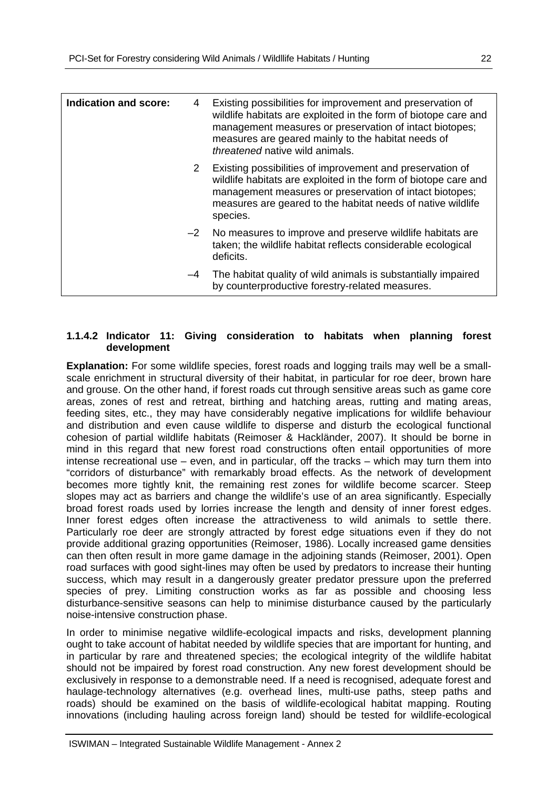| <b>Indication and score:</b> | 4            | Existing possibilities for improvement and preservation of<br>wildlife habitats are exploited in the form of biotope care and<br>management measures or preservation of intact biotopes;<br>measures are geared mainly to the habitat needs of<br><i>threatened</i> native wild animals. |
|------------------------------|--------------|------------------------------------------------------------------------------------------------------------------------------------------------------------------------------------------------------------------------------------------------------------------------------------------|
|                              | $\mathbf{2}$ | Existing possibilities of improvement and preservation of<br>wildlife habitats are exploited in the form of biotope care and<br>management measures or preservation of intact biotopes;<br>measures are geared to the habitat needs of native wildlife<br>species.                       |
|                              |              | $-2$ No measures to improve and preserve wildlife habitats are<br>taken; the wildlife habitat reflects considerable ecological<br>deficits.                                                                                                                                              |
|                              | $-4$         | The habitat quality of wild animals is substantially impaired<br>by counterproductive forestry-related measures.                                                                                                                                                                         |

#### **1.1.4.2 Indicator 11: Giving consideration to habitats when planning forest development**

**Explanation:** For some wildlife species, forest roads and logging trails may well be a smallscale enrichment in structural diversity of their habitat, in particular for roe deer, brown hare and grouse. On the other hand, if forest roads cut through sensitive areas such as game core areas, zones of rest and retreat, birthing and hatching areas, rutting and mating areas, feeding sites, etc., they may have considerably negative implications for wildlife behaviour and distribution and even cause wildlife to disperse and disturb the ecological functional cohesion of partial wildlife habitats (Reimoser & Hackländer, 2007). It should be borne in mind in this regard that new forest road constructions often entail opportunities of more intense recreational use – even, and in particular, off the tracks – which may turn them into "corridors of disturbance" with remarkably broad effects. As the network of development becomes more tightly knit, the remaining rest zones for wildlife become scarcer. Steep slopes may act as barriers and change the wildlife's use of an area significantly. Especially broad forest roads used by lorries increase the length and density of inner forest edges. Inner forest edges often increase the attractiveness to wild animals to settle there. Particularly roe deer are strongly attracted by forest edge situations even if they do not provide additional grazing opportunities (Reimoser, 1986). Locally increased game densities can then often result in more game damage in the adjoining stands (Reimoser, 2001). Open road surfaces with good sight-lines may often be used by predators to increase their hunting success, which may result in a dangerously greater predator pressure upon the preferred species of prey. Limiting construction works as far as possible and choosing less disturbance-sensitive seasons can help to minimise disturbance caused by the particularly noise-intensive construction phase.

In order to minimise negative wildlife-ecological impacts and risks, development planning ought to take account of habitat needed by wildlife species that are important for hunting, and in particular by rare and threatened species; the ecological integrity of the wildlife habitat should not be impaired by forest road construction. Any new forest development should be exclusively in response to a demonstrable need. If a need is recognised, adequate forest and haulage-technology alternatives (e.g. overhead lines, multi-use paths, steep paths and roads) should be examined on the basis of wildlife-ecological habitat mapping. Routing innovations (including hauling across foreign land) should be tested for wildlife-ecological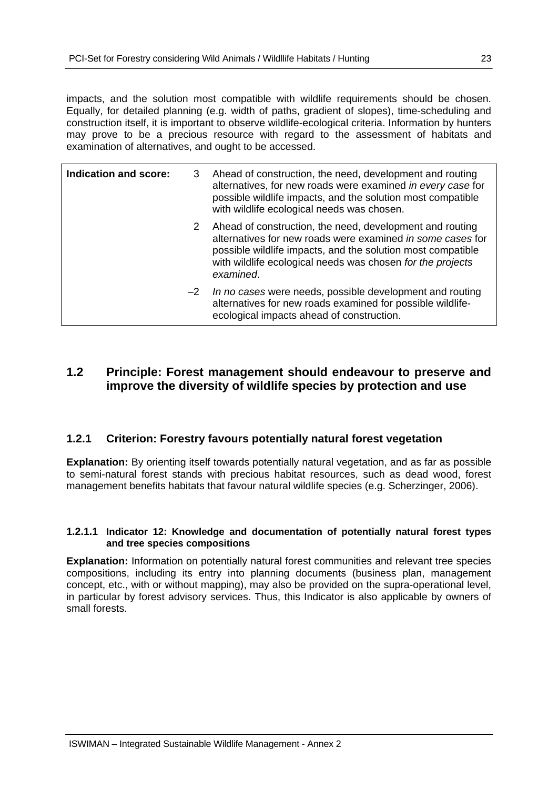impacts, and the solution most compatible with wildlife requirements should be chosen. Equally, for detailed planning (e.g. width of paths, gradient of slopes), time-scheduling and construction itself, it is important to observe wildlife-ecological criteria. Information by hunters may prove to be a precious resource with regard to the assessment of habitats and examination of alternatives, and ought to be accessed.

| Indication and score: | 3    | Ahead of construction, the need, development and routing<br>alternatives, for new roads were examined in every case for<br>possible wildlife impacts, and the solution most compatible<br>with wildlife ecological needs was chosen.                               |
|-----------------------|------|--------------------------------------------------------------------------------------------------------------------------------------------------------------------------------------------------------------------------------------------------------------------|
|                       |      | 2 Ahead of construction, the need, development and routing<br>alternatives for new roads were examined in some cases for<br>possible wildlife impacts, and the solution most compatible<br>with wildlife ecological needs was chosen for the projects<br>examined. |
|                       | $-2$ | In no cases were needs, possible development and routing<br>alternatives for new roads examined for possible wildlife-<br>ecological impacts ahead of construction.                                                                                                |

## **1.2 Principle: Forest management should endeavour to preserve and improve the diversity of wildlife species by protection and use**

#### **1.2.1 Criterion: Forestry favours potentially natural forest vegetation**

**Explanation:** By orienting itself towards potentially natural vegetation, and as far as possible to semi-natural forest stands with precious habitat resources, such as dead wood, forest management benefits habitats that favour natural wildlife species (e.g. Scherzinger, 2006).

#### **1.2.1.1 Indicator 12: Knowledge and documentation of potentially natural forest types and tree species compositions**

**Explanation:** Information on potentially natural forest communities and relevant tree species compositions, including its entry into planning documents (business plan, management concept, etc., with or without mapping), may also be provided on the supra-operational level, in particular by forest advisory services. Thus, this Indicator is also applicable by owners of small forests.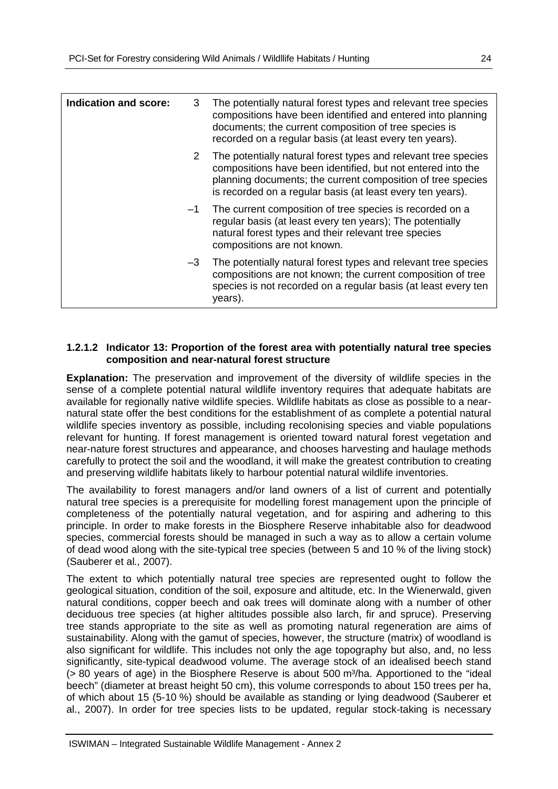| Indication and score: | 3    | The potentially natural forest types and relevant tree species<br>compositions have been identified and entered into planning<br>documents; the current composition of tree species is<br>recorded on a regular basis (at least every ten years).          |
|-----------------------|------|------------------------------------------------------------------------------------------------------------------------------------------------------------------------------------------------------------------------------------------------------------|
|                       | 2    | The potentially natural forest types and relevant tree species<br>compositions have been identified, but not entered into the<br>planning documents; the current composition of tree species<br>is recorded on a regular basis (at least every ten years). |
|                       | $-1$ | The current composition of tree species is recorded on a<br>regular basis (at least every ten years); The potentially<br>natural forest types and their relevant tree species<br>compositions are not known.                                               |
|                       | $-3$ | The potentially natural forest types and relevant tree species<br>compositions are not known; the current composition of tree<br>species is not recorded on a regular basis (at least every ten<br>years).                                                 |

#### **1.2.1.2 Indicator 13: Proportion of the forest area with potentially natural tree species composition and near-natural forest structure**

**Explanation:** The preservation and improvement of the diversity of wildlife species in the sense of a complete potential natural wildlife inventory requires that adequate habitats are available for regionally native wildlife species. Wildlife habitats as close as possible to a nearnatural state offer the best conditions for the establishment of as complete a potential natural wildlife species inventory as possible, including recolonising species and viable populations relevant for hunting. If forest management is oriented toward natural forest vegetation and near-nature forest structures and appearance, and chooses harvesting and haulage methods carefully to protect the soil and the woodland, it will make the greatest contribution to creating and preserving wildlife habitats likely to harbour potential natural wildlife inventories.

The availability to forest managers and/or land owners of a list of current and potentially natural tree species is a prerequisite for modelling forest management upon the principle of completeness of the potentially natural vegetation, and for aspiring and adhering to this principle. In order to make forests in the Biosphere Reserve inhabitable also for deadwood species, commercial forests should be managed in such a way as to allow a certain volume of dead wood along with the site-typical tree species (between 5 and 10 % of the living stock) (Sauberer et al*.,* 2007).

The extent to which potentially natural tree species are represented ought to follow the geological situation, condition of the soil, exposure and altitude, etc. In the Wienerwald, given natural conditions, copper beech and oak trees will dominate along with a number of other deciduous tree species (at higher altitudes possible also larch, fir and spruce). Preserving tree stands appropriate to the site as well as promoting natural regeneration are aims of sustainability. Along with the gamut of species, however, the structure (matrix) of woodland is also significant for wildlife. This includes not only the age topography but also, and, no less significantly, site-typical deadwood volume. The average stock of an idealised beech stand  $(> 80$  years of age) in the Biosphere Reserve is about 500 m<sup>3</sup>/ha. Apportioned to the "ideal beech" (diameter at breast height 50 cm), this volume corresponds to about 150 trees per ha, of which about 15 (5-10 %) should be available as standing or lying deadwood (Sauberer et al., 2007). In order for tree species lists to be updated, regular stock-taking is necessary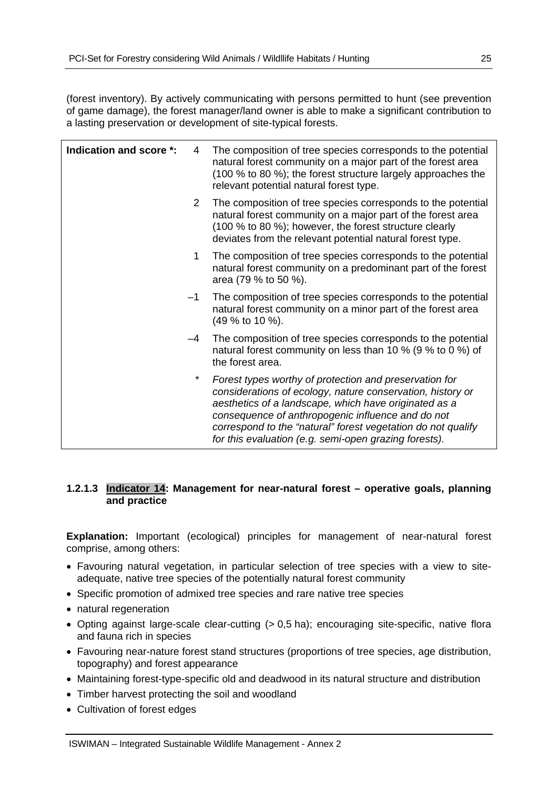(forest inventory). By actively communicating with persons permitted to hunt (see prevention of game damage), the forest manager/land owner is able to make a significant contribution to a lasting preservation or development of site-typical forests.

| Indication and score *: | 4              | The composition of tree species corresponds to the potential<br>natural forest community on a major part of the forest area<br>(100 % to 80 %); the forest structure largely approaches the<br>relevant potential natural forest type.                                                                                                                      |
|-------------------------|----------------|-------------------------------------------------------------------------------------------------------------------------------------------------------------------------------------------------------------------------------------------------------------------------------------------------------------------------------------------------------------|
|                         | $\overline{2}$ | The composition of tree species corresponds to the potential<br>natural forest community on a major part of the forest area<br>(100 % to 80 %); however, the forest structure clearly<br>deviates from the relevant potential natural forest type.                                                                                                          |
|                         | 1              | The composition of tree species corresponds to the potential<br>natural forest community on a predominant part of the forest<br>area (79 % to 50 %).                                                                                                                                                                                                        |
|                         | -1             | The composition of tree species corresponds to the potential<br>natural forest community on a minor part of the forest area<br>(49 % to 10 %).                                                                                                                                                                                                              |
|                         | $-4$           | The composition of tree species corresponds to the potential<br>natural forest community on less than 10 % (9 % to 0 %) of<br>the forest area.                                                                                                                                                                                                              |
|                         | $^\star$       | Forest types worthy of protection and preservation for<br>considerations of ecology, nature conservation, history or<br>aesthetics of a landscape, which have originated as a<br>consequence of anthropogenic influence and do not<br>correspond to the "natural" forest vegetation do not qualify<br>for this evaluation (e.g. semi-open grazing forests). |

#### **1.2.1.3 Indicator 14: Management for near-natural forest – operative goals, planning and practice**

**Explanation:** Important (ecological) principles for management of near-natural forest comprise, among others:

- Favouring natural vegetation, in particular selection of tree species with a view to siteadequate, native tree species of the potentially natural forest community
- Specific promotion of admixed tree species and rare native tree species
- natural regeneration
- Opting against large-scale clear-cutting (> 0,5 ha); encouraging site-specific, native flora and fauna rich in species
- Favouring near-nature forest stand structures (proportions of tree species, age distribution, topography) and forest appearance
- Maintaining forest-type-specific old and deadwood in its natural structure and distribution
- Timber harvest protecting the soil and woodland
- Cultivation of forest edges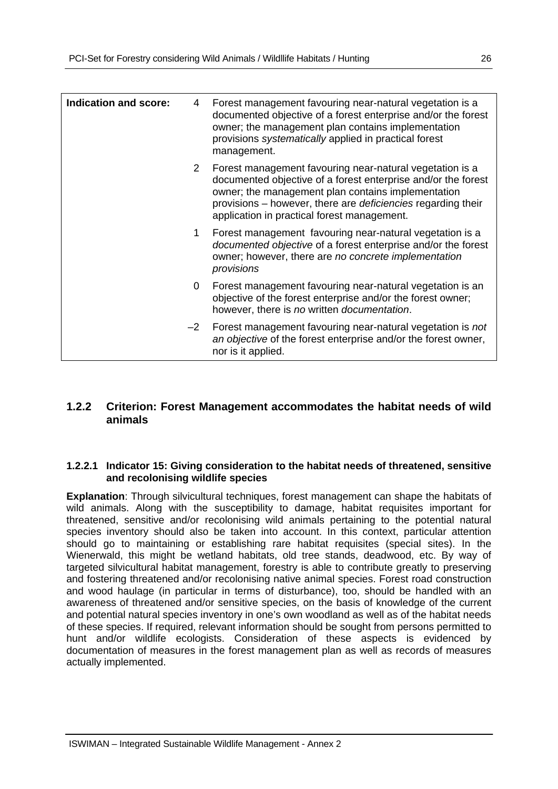| <b>Indication and score:</b> | 4           | Forest management favouring near-natural vegetation is a<br>documented objective of a forest enterprise and/or the forest<br>owner; the management plan contains implementation<br>provisions systematically applied in practical forest<br>management.                                        |
|------------------------------|-------------|------------------------------------------------------------------------------------------------------------------------------------------------------------------------------------------------------------------------------------------------------------------------------------------------|
|                              | $2^{\circ}$ | Forest management favouring near-natural vegetation is a<br>documented objective of a forest enterprise and/or the forest<br>owner; the management plan contains implementation<br>provisions – however, there are deficiencies regarding their<br>application in practical forest management. |
|                              | 1.          | Forest management favouring near-natural vegetation is a<br>documented objective of a forest enterprise and/or the forest<br>owner; however, there are no concrete implementation<br>provisions                                                                                                |
|                              | 0           | Forest management favouring near-natural vegetation is an<br>objective of the forest enterprise and/or the forest owner;<br>however, there is no written documentation.                                                                                                                        |
|                              | $-2$        | Forest management favouring near-natural vegetation is not<br>an objective of the forest enterprise and/or the forest owner,<br>nor is it applied.                                                                                                                                             |

#### **1.2.2 Criterion: Forest Management accommodates the habitat needs of wild animals**

#### **1.2.2.1 Indicator 15: Giving consideration to the habitat needs of threatened, sensitive and recolonising wildlife species**

**Explanation**: Through silvicultural techniques, forest management can shape the habitats of wild animals. Along with the susceptibility to damage, habitat requisites important for threatened, sensitive and/or recolonising wild animals pertaining to the potential natural species inventory should also be taken into account. In this context, particular attention should go to maintaining or establishing rare habitat requisites (special sites). In the Wienerwald, this might be wetland habitats, old tree stands, deadwood, etc. By way of targeted silvicultural habitat management, forestry is able to contribute greatly to preserving and fostering threatened and/or recolonising native animal species. Forest road construction and wood haulage (in particular in terms of disturbance), too, should be handled with an awareness of threatened and/or sensitive species, on the basis of knowledge of the current and potential natural species inventory in one's own woodland as well as of the habitat needs of these species. If required, relevant information should be sought from persons permitted to hunt and/or wildlife ecologists. Consideration of these aspects is evidenced by documentation of measures in the forest management plan as well as records of measures actually implemented.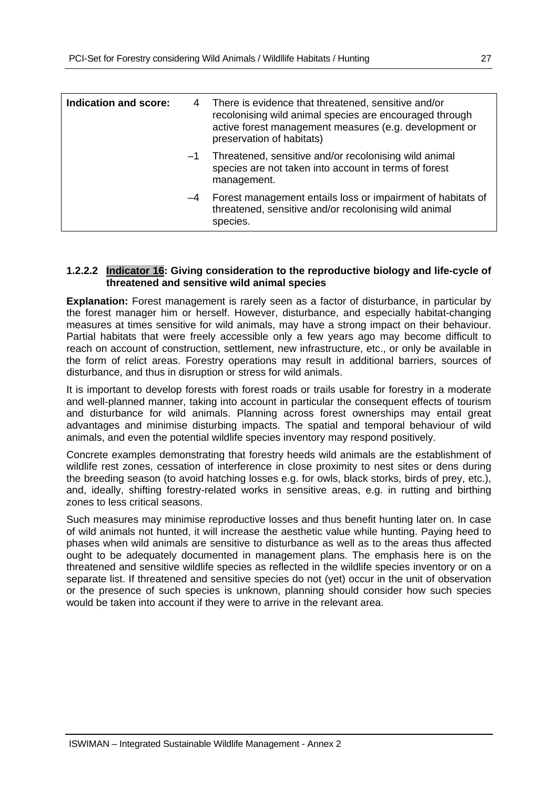| Indication and score: | 4    | There is evidence that threatened, sensitive and/or<br>recolonising wild animal species are encouraged through<br>active forest management measures (e.g. development or<br>preservation of habitats) |
|-----------------------|------|-------------------------------------------------------------------------------------------------------------------------------------------------------------------------------------------------------|
|                       | $-1$ | Threatened, sensitive and/or recolonising wild animal<br>species are not taken into account in terms of forest<br>management.                                                                         |
|                       | $-4$ | Forest management entails loss or impairment of habitats of<br>threatened, sensitive and/or recolonising wild animal<br>species.                                                                      |

#### **1.2.2.2 Indicator 16: Giving consideration to the reproductive biology and life-cycle of threatened and sensitive wild animal species**

**Explanation:** Forest management is rarely seen as a factor of disturbance, in particular by the forest manager him or herself. However, disturbance, and especially habitat-changing measures at times sensitive for wild animals, may have a strong impact on their behaviour. Partial habitats that were freely accessible only a few years ago may become difficult to reach on account of construction, settlement, new infrastructure, etc., or only be available in the form of relict areas. Forestry operations may result in additional barriers, sources of disturbance, and thus in disruption or stress for wild animals.

It is important to develop forests with forest roads or trails usable for forestry in a moderate and well-planned manner, taking into account in particular the consequent effects of tourism and disturbance for wild animals. Planning across forest ownerships may entail great advantages and minimise disturbing impacts. The spatial and temporal behaviour of wild animals, and even the potential wildlife species inventory may respond positively.

Concrete examples demonstrating that forestry heeds wild animals are the establishment of wildlife rest zones, cessation of interference in close proximity to nest sites or dens during the breeding season (to avoid hatching losses e.g. for owls, black storks, birds of prey, etc.), and, ideally, shifting forestry-related works in sensitive areas, e.g. in rutting and birthing zones to less critical seasons.

Such measures may minimise reproductive losses and thus benefit hunting later on. In case of wild animals not hunted, it will increase the aesthetic value while hunting. Paying heed to phases when wild animals are sensitive to disturbance as well as to the areas thus affected ought to be adequately documented in management plans. The emphasis here is on the threatened and sensitive wildlife species as reflected in the wildlife species inventory or on a separate list. If threatened and sensitive species do not (yet) occur in the unit of observation or the presence of such species is unknown, planning should consider how such species would be taken into account if they were to arrive in the relevant area.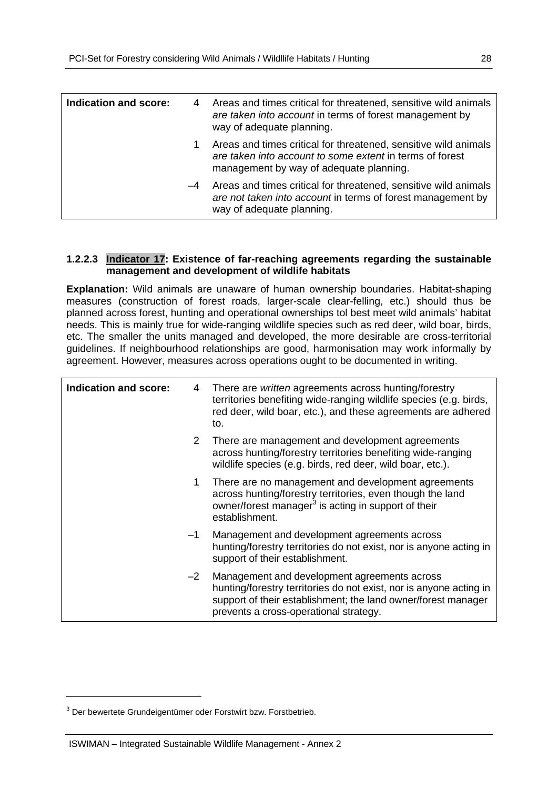| <b>Indication and score:</b> | 4    | Areas and times critical for threatened, sensitive wild animals<br>are taken into account in terms of forest management by<br>way of adequate planning.                |
|------------------------------|------|------------------------------------------------------------------------------------------------------------------------------------------------------------------------|
|                              | 1    | Areas and times critical for threatened, sensitive wild animals<br>are taken into account to some extent in terms of forest<br>management by way of adequate planning. |
|                              | $-4$ | Areas and times critical for threatened, sensitive wild animals<br>are not taken into account in terms of forest management by<br>way of adequate planning.            |

#### **1.2.2.3 Indicator 17: Existence of far-reaching agreements regarding the sustainable management and development of wildlife habitats**

**Explanation:** Wild animals are unaware of human ownership boundaries. Habitat-shaping measures (construction of forest roads, larger-scale clear-felling, etc.) should thus be planned across forest, hunting and operational ownerships tol best meet wild animals' habitat needs. This is mainly true for wide-ranging wildlife species such as red deer, wild boar, birds, etc. The smaller the units managed and developed, the more desirable are cross-territorial guidelines. If neighbourhood relationships are good, harmonisation may work informally by agreement. However, measures across operations ought to be documented in writing.

| <b>Indication and score:</b> | 4    | There are <i>written</i> agreements across hunting/forestry<br>territories benefiting wide-ranging wildlife species (e.g. birds,<br>red deer, wild boar, etc.), and these agreements are adhered<br>to.                       |
|------------------------------|------|-------------------------------------------------------------------------------------------------------------------------------------------------------------------------------------------------------------------------------|
|                              | 2    | There are management and development agreements<br>across hunting/forestry territories benefiting wide-ranging<br>wildlife species (e.g. birds, red deer, wild boar, etc.).                                                   |
|                              | 1    | There are no management and development agreements<br>across hunting/forestry territories, even though the land<br>owner/forest manager <sup>3</sup> is acting in support of their<br>establishment.                          |
| $-1$                         |      | Management and development agreements across<br>hunting/forestry territories do not exist, nor is anyone acting in<br>support of their establishment.                                                                         |
|                              | $-2$ | Management and development agreements across<br>hunting/forestry territories do not exist, nor is anyone acting in<br>support of their establishment; the land owner/forest manager<br>prevents a cross-operational strategy. |

-

<sup>&</sup>lt;sup>3</sup> Der bewertete Grundeigentümer oder Forstwirt bzw. Forstbetrieb.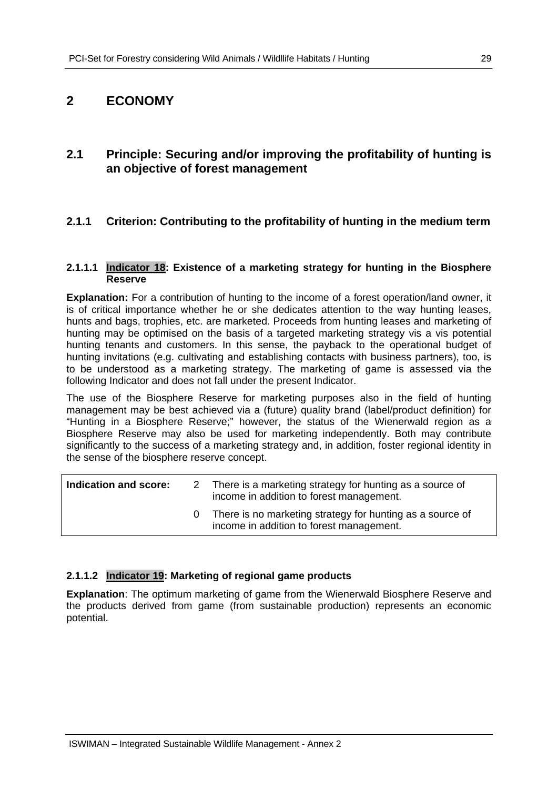## **2 ECONOMY**

## **2.1 Principle: Securing and/or improving the profitability of hunting is an objective of forest management**

## **2.1.1 Criterion: Contributing to the profitability of hunting in the medium term**

#### **2.1.1.1 Indicator 18: Existence of a marketing strategy for hunting in the Biosphere Reserve**

**Explanation:** For a contribution of hunting to the income of a forest operation/land owner, it is of critical importance whether he or she dedicates attention to the way hunting leases, hunts and bags, trophies, etc. are marketed. Proceeds from hunting leases and marketing of hunting may be optimised on the basis of a targeted marketing strategy vis a vis potential hunting tenants and customers. In this sense, the payback to the operational budget of hunting invitations (e.g. cultivating and establishing contacts with business partners), too, is to be understood as a marketing strategy. The marketing of game is assessed via the following Indicator and does not fall under the present Indicator.

The use of the Biosphere Reserve for marketing purposes also in the field of hunting management may be best achieved via a (future) quality brand (label/product definition) for "Hunting in a Biosphere Reserve;" however, the status of the Wienerwald region as a Biosphere Reserve may also be used for marketing independently. Both may contribute significantly to the success of a marketing strategy and, in addition, foster regional identity in the sense of the biosphere reserve concept.

| Indication and score: | 2 There is a marketing strategy for hunting as a source of<br>income in addition to forest management. |
|-----------------------|--------------------------------------------------------------------------------------------------------|
|                       | There is no marketing strategy for hunting as a source of<br>income in addition to forest management.  |

#### **2.1.1.2 Indicator 19: Marketing of regional game products**

**Explanation**: The optimum marketing of game from the Wienerwald Biosphere Reserve and the products derived from game (from sustainable production) represents an economic potential.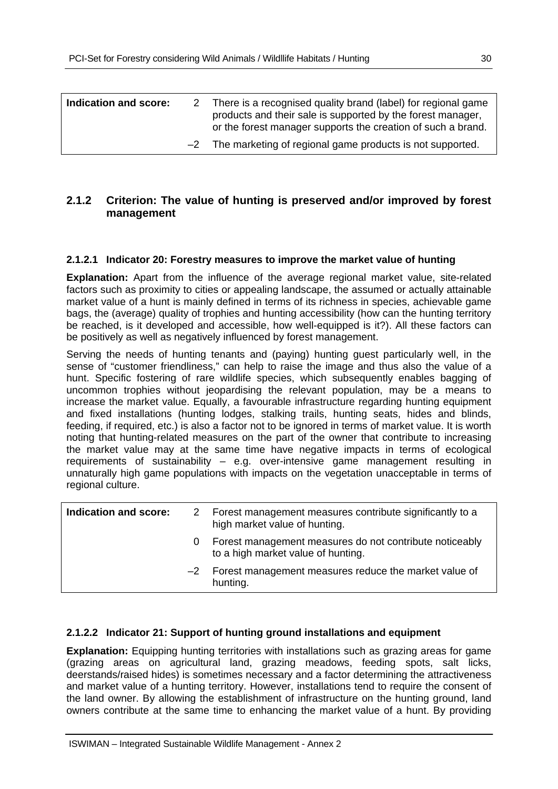| Indication and score: | 2 There is a recognised quality brand (label) for regional game<br>products and their sale is supported by the forest manager,<br>or the forest manager supports the creation of such a brand. |
|-----------------------|------------------------------------------------------------------------------------------------------------------------------------------------------------------------------------------------|
|                       | -2 The marketing of regional game products is not supported.                                                                                                                                   |

### **2.1.2 Criterion: The value of hunting is preserved and/or improved by forest management**

#### **2.1.2.1 Indicator 20: Forestry measures to improve the market value of hunting**

**Explanation:** Apart from the influence of the average regional market value, site-related factors such as proximity to cities or appealing landscape, the assumed or actually attainable market value of a hunt is mainly defined in terms of its richness in species, achievable game bags, the (average) quality of trophies and hunting accessibility (how can the hunting territory be reached, is it developed and accessible, how well-equipped is it?). All these factors can be positively as well as negatively influenced by forest management.

Serving the needs of hunting tenants and (paying) hunting guest particularly well, in the sense of "customer friendliness," can help to raise the image and thus also the value of a hunt. Specific fostering of rare wildlife species, which subsequently enables bagging of uncommon trophies without jeopardising the relevant population, may be a means to increase the market value. Equally, a favourable infrastructure regarding hunting equipment and fixed installations (hunting lodges, stalking trails, hunting seats, hides and blinds, feeding, if required, etc.) is also a factor not to be ignored in terms of market value. It is worth noting that hunting-related measures on the part of the owner that contribute to increasing the market value may at the same time have negative impacts in terms of ecological requirements of sustainability – e.g. over-intensive game management resulting in unnaturally high game populations with impacts on the vegetation unacceptable in terms of regional culture.

| Indication and score: | <sup>2</sup> | Forest management measures contribute significantly to a<br>high market value of hunting.     |
|-----------------------|--------------|-----------------------------------------------------------------------------------------------|
|                       |              | Forest management measures do not contribute noticeably<br>to a high market value of hunting. |
|                       | $-2$         | Forest management measures reduce the market value of<br>hunting.                             |

#### **2.1.2.2 Indicator 21: Support of hunting ground installations and equipment**

**Explanation:** Equipping hunting territories with installations such as grazing areas for game (grazing areas on agricultural land, grazing meadows, feeding spots, salt licks, deerstands/raised hides) is sometimes necessary and a factor determining the attractiveness and market value of a hunting territory. However, installations tend to require the consent of the land owner. By allowing the establishment of infrastructure on the hunting ground, land owners contribute at the same time to enhancing the market value of a hunt. By providing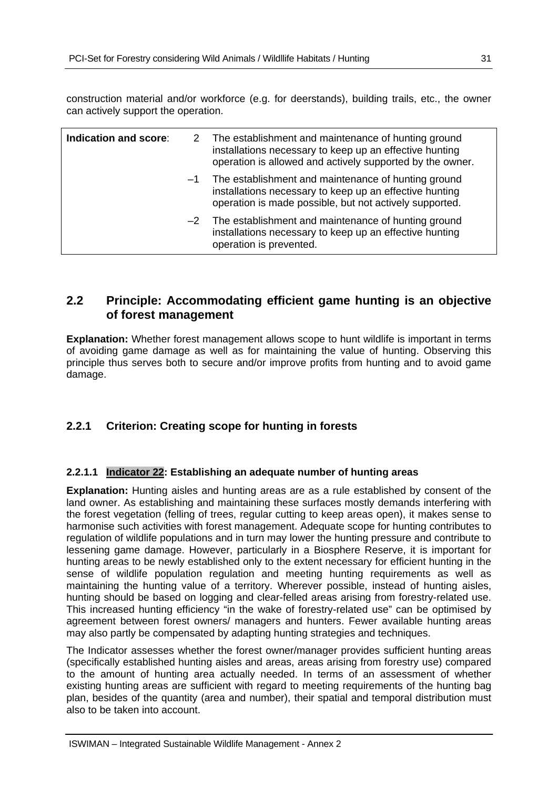construction material and/or workforce (e.g. for deerstands), building trails, etc., the owner can actively support the operation.

| Indication and score: |      | 2 The establishment and maintenance of hunting ground<br>installations necessary to keep up an effective hunting<br>operation is allowed and actively supported by the owner. |
|-----------------------|------|-------------------------------------------------------------------------------------------------------------------------------------------------------------------------------|
|                       | $-1$ | The establishment and maintenance of hunting ground<br>installations necessary to keep up an effective hunting<br>operation is made possible, but not actively supported.     |
|                       | $-2$ | The establishment and maintenance of hunting ground<br>installations necessary to keep up an effective hunting<br>operation is prevented.                                     |

## **2.2 Principle: Accommodating efficient game hunting is an objective of forest management**

**Explanation:** Whether forest management allows scope to hunt wildlife is important in terms of avoiding game damage as well as for maintaining the value of hunting. Observing this principle thus serves both to secure and/or improve profits from hunting and to avoid game damage.

## **2.2.1 Criterion: Creating scope for hunting in forests**

#### **2.2.1.1 Indicator 22: Establishing an adequate number of hunting areas**

**Explanation:** Hunting aisles and hunting areas are as a rule established by consent of the land owner. As establishing and maintaining these surfaces mostly demands interfering with the forest vegetation (felling of trees, regular cutting to keep areas open), it makes sense to harmonise such activities with forest management. Adequate scope for hunting contributes to regulation of wildlife populations and in turn may lower the hunting pressure and contribute to lessening game damage. However, particularly in a Biosphere Reserve, it is important for hunting areas to be newly established only to the extent necessary for efficient hunting in the sense of wildlife population regulation and meeting hunting requirements as well as maintaining the hunting value of a territory. Wherever possible, instead of hunting aisles, hunting should be based on logging and clear-felled areas arising from forestry-related use. This increased hunting efficiency "in the wake of forestry-related use" can be optimised by agreement between forest owners/ managers and hunters. Fewer available hunting areas may also partly be compensated by adapting hunting strategies and techniques.

The Indicator assesses whether the forest owner/manager provides sufficient hunting areas (specifically established hunting aisles and areas, areas arising from forestry use) compared to the amount of hunting area actually needed. In terms of an assessment of whether existing hunting areas are sufficient with regard to meeting requirements of the hunting bag plan, besides of the quantity (area and number), their spatial and temporal distribution must also to be taken into account.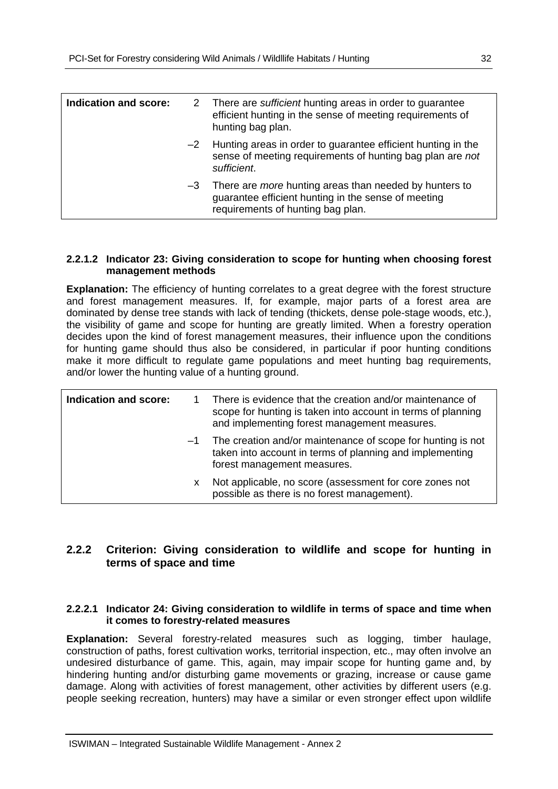| Indication and score: |      | 2 There are sufficient hunting areas in order to guarantee<br>efficient hunting in the sense of meeting requirements of<br>hunting bag plan.              |
|-----------------------|------|-----------------------------------------------------------------------------------------------------------------------------------------------------------|
|                       |      | $-2$ Hunting areas in order to guarantee efficient hunting in the<br>sense of meeting requirements of hunting bag plan are not<br>sufficient.             |
|                       | $-3$ | There are <i>more</i> hunting areas than needed by hunters to<br>guarantee efficient hunting in the sense of meeting<br>requirements of hunting bag plan. |

#### **2.2.1.2 Indicator 23: Giving consideration to scope for hunting when choosing forest management methods**

**Explanation:** The efficiency of hunting correlates to a great degree with the forest structure and forest management measures. If, for example, major parts of a forest area are dominated by dense tree stands with lack of tending (thickets, dense pole-stage woods, etc.), the visibility of game and scope for hunting are greatly limited. When a forestry operation decides upon the kind of forest management measures, their influence upon the conditions for hunting game should thus also be considered, in particular if poor hunting conditions make it more difficult to regulate game populations and meet hunting bag requirements, and/or lower the hunting value of a hunting ground.

| Indication and score: |      | There is evidence that the creation and/or maintenance of<br>scope for hunting is taken into account in terms of planning<br>and implementing forest management measures. |
|-----------------------|------|---------------------------------------------------------------------------------------------------------------------------------------------------------------------------|
|                       | $-1$ | The creation and/or maintenance of scope for hunting is not<br>taken into account in terms of planning and implementing<br>forest management measures.                    |
|                       | x    | Not applicable, no score (assessment for core zones not<br>possible as there is no forest management).                                                                    |

### **2.2.2 Criterion: Giving consideration to wildlife and scope for hunting in terms of space and time**

#### **2.2.2.1 Indicator 24: Giving consideration to wildlife in terms of space and time when it comes to forestry-related measures**

**Explanation:** Several forestry-related measures such as logging, timber haulage, construction of paths, forest cultivation works, territorial inspection, etc., may often involve an undesired disturbance of game. This, again, may impair scope for hunting game and, by hindering hunting and/or disturbing game movements or grazing, increase or cause game damage. Along with activities of forest management, other activities by different users (e.g. people seeking recreation, hunters) may have a similar or even stronger effect upon wildlife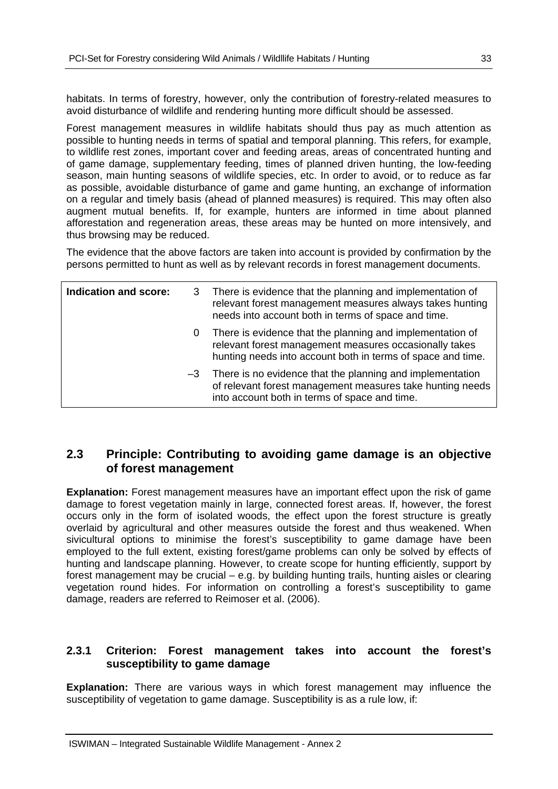habitats. In terms of forestry, however, only the contribution of forestry-related measures to avoid disturbance of wildlife and rendering hunting more difficult should be assessed.

Forest management measures in wildlife habitats should thus pay as much attention as possible to hunting needs in terms of spatial and temporal planning. This refers, for example, to wildlife rest zones, important cover and feeding areas, areas of concentrated hunting and of game damage, supplementary feeding, times of planned driven hunting, the low-feeding season, main hunting seasons of wildlife species, etc. In order to avoid, or to reduce as far as possible, avoidable disturbance of game and game hunting, an exchange of information on a regular and timely basis (ahead of planned measures) is required. This may often also augment mutual benefits. If, for example, hunters are informed in time about planned afforestation and regeneration areas, these areas may be hunted on more intensively, and thus browsing may be reduced.

The evidence that the above factors are taken into account is provided by confirmation by the persons permitted to hunt as well as by relevant records in forest management documents.

| Indication and score: |   | 3 There is evidence that the planning and implementation of<br>relevant forest management measures always takes hunting<br>needs into account both in terms of space and time.     |
|-----------------------|---|------------------------------------------------------------------------------------------------------------------------------------------------------------------------------------|
|                       | 0 | There is evidence that the planning and implementation of<br>relevant forest management measures occasionally takes<br>hunting needs into account both in terms of space and time. |
|                       |   | $-3$ There is no evidence that the planning and implementation<br>of relevant forest management measures take hunting needs<br>into account both in terms of space and time.       |

## **2.3 Principle: Contributing to avoiding game damage is an objective of forest management**

**Explanation:** Forest management measures have an important effect upon the risk of game damage to forest vegetation mainly in large, connected forest areas. If, however, the forest occurs only in the form of isolated woods, the effect upon the forest structure is greatly overlaid by agricultural and other measures outside the forest and thus weakened. When sivicultural options to minimise the forest's susceptibility to game damage have been employed to the full extent, existing forest/game problems can only be solved by effects of hunting and landscape planning. However, to create scope for hunting efficiently, support by forest management may be crucial – e.g. by building hunting trails, hunting aisles or clearing vegetation round hides. For information on controlling a forest's susceptibility to game damage, readers are referred to Reimoser et al. (2006).

#### **2.3.1 Criterion: Forest management takes into account the forest's susceptibility to game damage**

**Explanation:** There are various ways in which forest management may influence the susceptibility of vegetation to game damage. Susceptibility is as a rule low, if: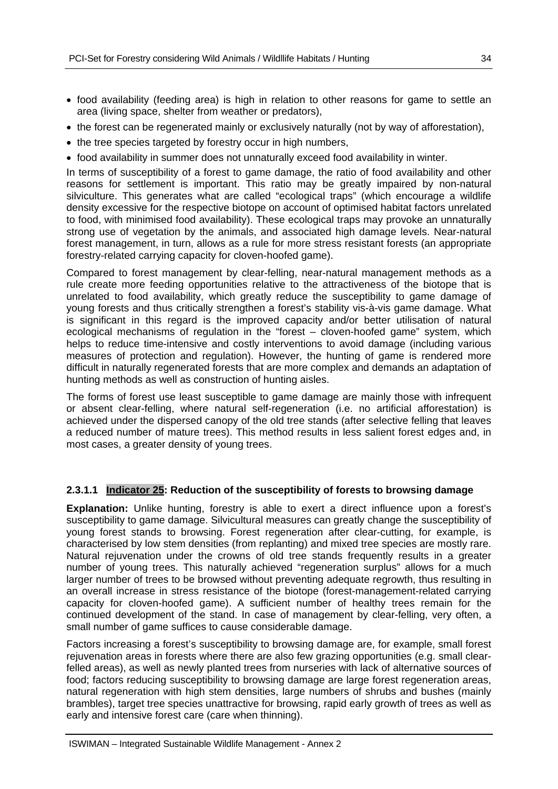- food availability (feeding area) is high in relation to other reasons for game to settle an area (living space, shelter from weather or predators),
- the forest can be regenerated mainly or exclusively naturally (not by way of afforestation),
- the tree species targeted by forestry occur in high numbers,
- food availability in summer does not unnaturally exceed food availability in winter.

In terms of susceptibility of a forest to game damage, the ratio of food availability and other reasons for settlement is important. This ratio may be greatly impaired by non-natural silviculture. This generates what are called "ecological traps" (which encourage a wildlife density excessive for the respective biotope on account of optimised habitat factors unrelated to food, with minimised food availability). These ecological traps may provoke an unnaturally strong use of vegetation by the animals, and associated high damage levels. Near-natural forest management, in turn, allows as a rule for more stress resistant forests (an appropriate forestry-related carrying capacity for cloven-hoofed game).

Compared to forest management by clear-felling, near-natural management methods as a rule create more feeding opportunities relative to the attractiveness of the biotope that is unrelated to food availability, which greatly reduce the susceptibility to game damage of young forests and thus critically strengthen a forest's stability vis-à-vis game damage. What is significant in this regard is the improved capacity and/or better utilisation of natural ecological mechanisms of regulation in the "forest – cloven-hoofed game" system, which helps to reduce time-intensive and costly interventions to avoid damage (including various measures of protection and regulation). However, the hunting of game is rendered more difficult in naturally regenerated forests that are more complex and demands an adaptation of hunting methods as well as construction of hunting aisles.

The forms of forest use least susceptible to game damage are mainly those with infrequent or absent clear-felling, where natural self-regeneration (i.e. no artificial afforestation) is achieved under the dispersed canopy of the old tree stands (after selective felling that leaves a reduced number of mature trees). This method results in less salient forest edges and, in most cases, a greater density of young trees.

#### **2.3.1.1 Indicator 25: Reduction of the susceptibility of forests to browsing damage**

**Explanation:** Unlike hunting, forestry is able to exert a direct influence upon a forest's susceptibility to game damage. Silvicultural measures can greatly change the susceptibility of young forest stands to browsing. Forest regeneration after clear-cutting, for example, is characterised by low stem densities (from replanting) and mixed tree species are mostly rare. Natural rejuvenation under the crowns of old tree stands frequently results in a greater number of young trees. This naturally achieved "regeneration surplus" allows for a much larger number of trees to be browsed without preventing adequate regrowth, thus resulting in an overall increase in stress resistance of the biotope (forest-management-related carrying capacity for cloven-hoofed game). A sufficient number of healthy trees remain for the continued development of the stand. In case of management by clear-felling, very often, a small number of game suffices to cause considerable damage.

Factors increasing a forest's susceptibility to browsing damage are, for example, small forest rejuvenation areas in forests where there are also few grazing opportunities (e.g. small clearfelled areas), as well as newly planted trees from nurseries with lack of alternative sources of food; factors reducing susceptibility to browsing damage are large forest regeneration areas, natural regeneration with high stem densities, large numbers of shrubs and bushes (mainly brambles), target tree species unattractive for browsing, rapid early growth of trees as well as early and intensive forest care (care when thinning).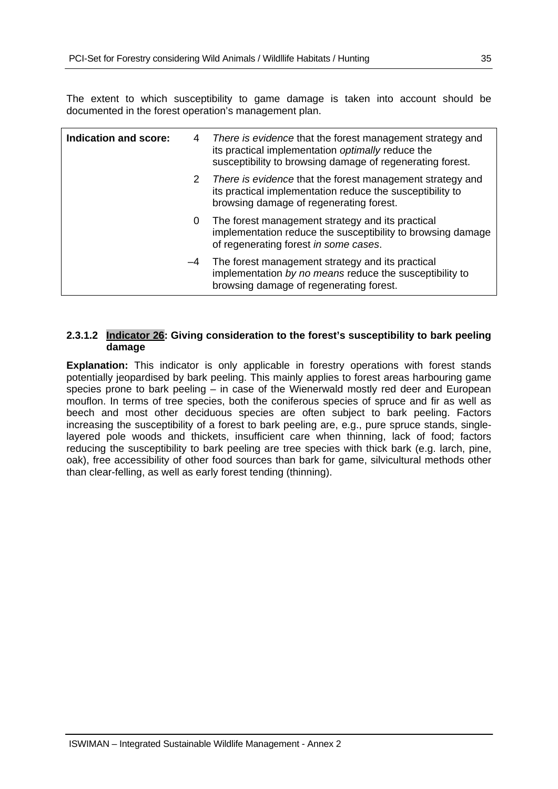The extent to which susceptibility to game damage is taken into account should be documented in the forest operation's management plan.

| Indication and score: | 4 | There is evidence that the forest management strategy and<br>its practical implementation optimally reduce the<br>susceptibility to browsing damage of regenerating forest. |
|-----------------------|---|-----------------------------------------------------------------------------------------------------------------------------------------------------------------------------|
|                       | 2 | There is evidence that the forest management strategy and<br>its practical implementation reduce the susceptibility to<br>browsing damage of regenerating forest.           |
|                       | 0 | The forest management strategy and its practical<br>implementation reduce the susceptibility to browsing damage<br>of regenerating forest in some cases.                    |
|                       |   | -4 The forest management strategy and its practical<br>implementation by no means reduce the susceptibility to<br>browsing damage of regenerating forest.                   |

#### **2.3.1.2 Indicator 26: Giving consideration to the forest's susceptibility to bark peeling damage**

**Explanation:** This indicator is only applicable in forestry operations with forest stands potentially jeopardised by bark peeling. This mainly applies to forest areas harbouring game species prone to bark peeling – in case of the Wienerwald mostly red deer and European mouflon. In terms of tree species, both the coniferous species of spruce and fir as well as beech and most other deciduous species are often subject to bark peeling. Factors increasing the susceptibility of a forest to bark peeling are, e.g., pure spruce stands, singlelayered pole woods and thickets, insufficient care when thinning, lack of food; factors reducing the susceptibility to bark peeling are tree species with thick bark (e.g. larch, pine, oak), free accessibility of other food sources than bark for game, silvicultural methods other than clear-felling, as well as early forest tending (thinning).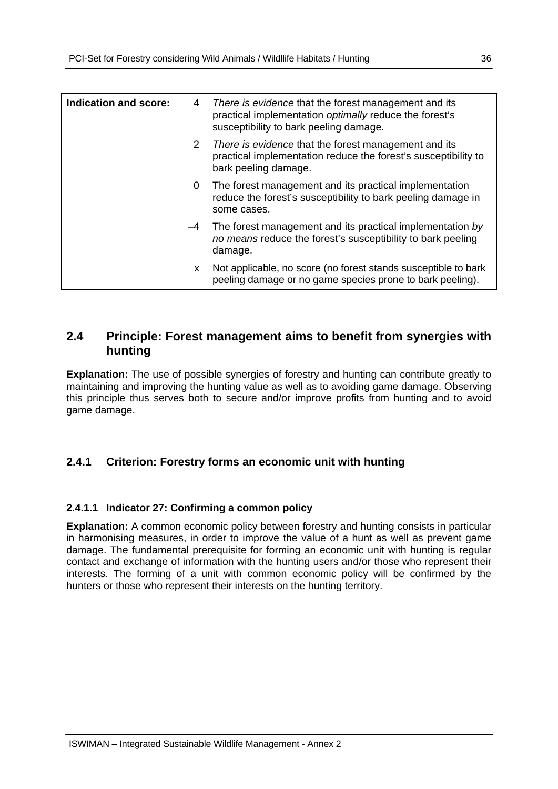| Indication and score: | 4                     | There is evidence that the forest management and its<br>practical implementation optimally reduce the forest's<br>susceptibility to bark peeling damage. |
|-----------------------|-----------------------|----------------------------------------------------------------------------------------------------------------------------------------------------------|
|                       | $\mathbf{2}^{\prime}$ | There is evidence that the forest management and its<br>practical implementation reduce the forest's susceptibility to<br>bark peeling damage.           |
|                       | 0                     | The forest management and its practical implementation<br>reduce the forest's susceptibility to bark peeling damage in<br>some cases.                    |
|                       | $-4$                  | The forest management and its practical implementation by<br>no means reduce the forest's susceptibility to bark peeling<br>damage.                      |
|                       | X.                    | Not applicable, no score (no forest stands susceptible to bark<br>peeling damage or no game species prone to bark peeling).                              |

## **2.4 Principle: Forest management aims to benefit from synergies with hunting**

**Explanation:** The use of possible synergies of forestry and hunting can contribute greatly to maintaining and improving the hunting value as well as to avoiding game damage. Observing this principle thus serves both to secure and/or improve profits from hunting and to avoid game damage.

## **2.4.1 Criterion: Forestry forms an economic unit with hunting**

#### **2.4.1.1 Indicator 27: Confirming a common policy**

**Explanation:** A common economic policy between forestry and hunting consists in particular in harmonising measures, in order to improve the value of a hunt as well as prevent game damage. The fundamental prerequisite for forming an economic unit with hunting is regular contact and exchange of information with the hunting users and/or those who represent their interests. The forming of a unit with common economic policy will be confirmed by the hunters or those who represent their interests on the hunting territory.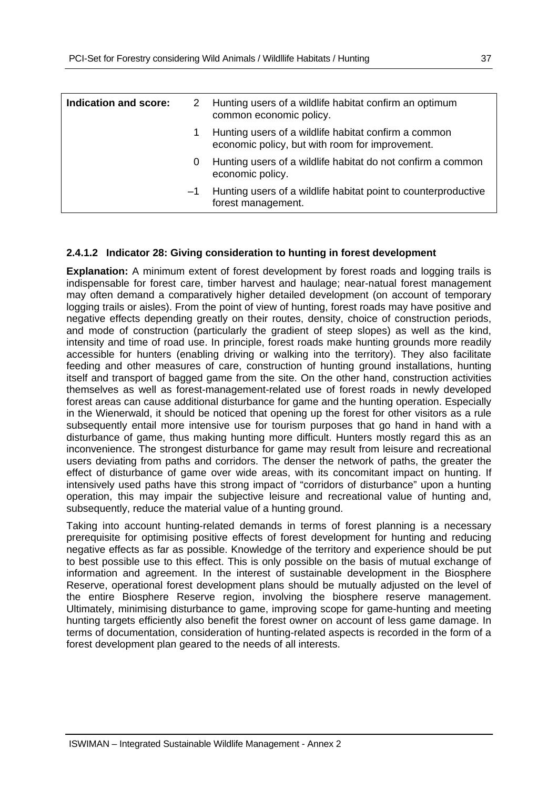| Indication and score: |      | 2 Hunting users of a wildlife habitat confirm an optimum<br>common economic policy.                     |
|-----------------------|------|---------------------------------------------------------------------------------------------------------|
|                       |      | Hunting users of a wildlife habitat confirm a common<br>economic policy, but with room for improvement. |
|                       | 0    | Hunting users of a wildlife habitat do not confirm a common<br>economic policy.                         |
|                       | $-1$ | Hunting users of a wildlife habitat point to counterproductive<br>forest management.                    |

#### **2.4.1.2 Indicator 28: Giving consideration to hunting in forest development**

**Explanation:** A minimum extent of forest development by forest roads and logging trails is indispensable for forest care, timber harvest and haulage; near-natual forest management may often demand a comparatively higher detailed development (on account of temporary logging trails or aisles). From the point of view of hunting, forest roads may have positive and negative effects depending greatly on their routes, density, choice of construction periods, and mode of construction (particularly the gradient of steep slopes) as well as the kind, intensity and time of road use. In principle, forest roads make hunting grounds more readily accessible for hunters (enabling driving or walking into the territory). They also facilitate feeding and other measures of care, construction of hunting ground installations, hunting itself and transport of bagged game from the site. On the other hand, construction activities themselves as well as forest-management-related use of forest roads in newly developed forest areas can cause additional disturbance for game and the hunting operation. Especially in the Wienerwald, it should be noticed that opening up the forest for other visitors as a rule subsequently entail more intensive use for tourism purposes that go hand in hand with a disturbance of game, thus making hunting more difficult. Hunters mostly regard this as an inconvenience. The strongest disturbance for game may result from leisure and recreational users deviating from paths and corridors. The denser the network of paths, the greater the effect of disturbance of game over wide areas, with its concomitant impact on hunting. If intensively used paths have this strong impact of "corridors of disturbance" upon a hunting operation, this may impair the subjective leisure and recreational value of hunting and, subsequently, reduce the material value of a hunting ground.

Taking into account hunting-related demands in terms of forest planning is a necessary prerequisite for optimising positive effects of forest development for hunting and reducing negative effects as far as possible. Knowledge of the territory and experience should be put to best possible use to this effect. This is only possible on the basis of mutual exchange of information and agreement. In the interest of sustainable development in the Biosphere Reserve, operational forest development plans should be mutually adjusted on the level of the entire Biosphere Reserve region, involving the biosphere reserve management. Ultimately, minimising disturbance to game, improving scope for game-hunting and meeting hunting targets efficiently also benefit the forest owner on account of less game damage. In terms of documentation, consideration of hunting-related aspects is recorded in the form of a forest development plan geared to the needs of all interests.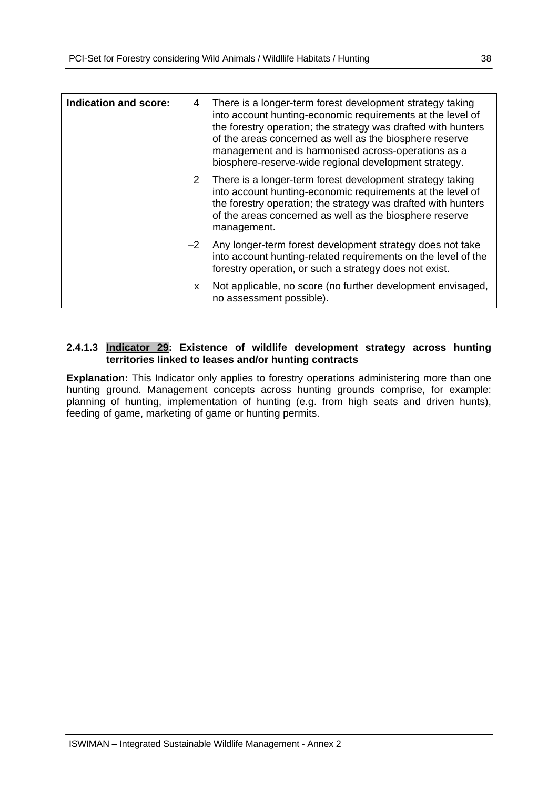| Indication and score: | 4            | There is a longer-term forest development strategy taking<br>into account hunting-economic requirements at the level of<br>the forestry operation; the strategy was drafted with hunters<br>of the areas concerned as well as the biosphere reserve<br>management and is harmonised across-operations as a<br>biosphere-reserve-wide regional development strategy. |
|-----------------------|--------------|---------------------------------------------------------------------------------------------------------------------------------------------------------------------------------------------------------------------------------------------------------------------------------------------------------------------------------------------------------------------|
|                       |              | 2 There is a longer-term forest development strategy taking<br>into account hunting-economic requirements at the level of<br>the forestry operation; the strategy was drafted with hunters<br>of the areas concerned as well as the biosphere reserve<br>management.                                                                                                |
|                       | $-2$         | Any longer-term forest development strategy does not take<br>into account hunting-related requirements on the level of the<br>forestry operation, or such a strategy does not exist.                                                                                                                                                                                |
|                       | $\mathsf{x}$ | Not applicable, no score (no further development envisaged,<br>no assessment possible).                                                                                                                                                                                                                                                                             |

#### **2.4.1.3 Indicator 29: Existence of wildlife development strategy across hunting territories linked to leases and/or hunting contracts**

**Explanation:** This Indicator only applies to forestry operations administering more than one hunting ground. Management concepts across hunting grounds comprise, for example: planning of hunting, implementation of hunting (e.g. from high seats and driven hunts), feeding of game, marketing of game or hunting permits.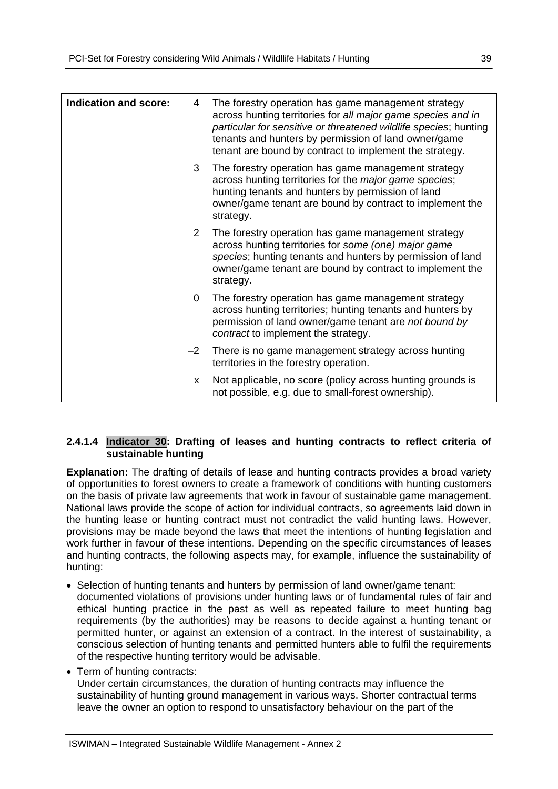| <b>Indication and score:</b> | 4              | The forestry operation has game management strategy<br>across hunting territories for all major game species and in<br>particular for sensitive or threatened wildlife species; hunting<br>tenants and hunters by permission of land owner/game<br>tenant are bound by contract to implement the strategy. |
|------------------------------|----------------|------------------------------------------------------------------------------------------------------------------------------------------------------------------------------------------------------------------------------------------------------------------------------------------------------------|
|                              | 3              | The forestry operation has game management strategy<br>across hunting territories for the major game species;<br>hunting tenants and hunters by permission of land<br>owner/game tenant are bound by contract to implement the<br>strategy.                                                                |
|                              | $\mathcal{P}$  | The forestry operation has game management strategy<br>across hunting territories for some (one) major game<br>species; hunting tenants and hunters by permission of land<br>owner/game tenant are bound by contract to implement the<br>strategy.                                                         |
|                              | $\overline{0}$ | The forestry operation has game management strategy<br>across hunting territories; hunting tenants and hunters by<br>permission of land owner/game tenant are not bound by<br>contract to implement the strategy.                                                                                          |
|                              | $-2$           | There is no game management strategy across hunting<br>territories in the forestry operation.                                                                                                                                                                                                              |
|                              | <b>X</b>       | Not applicable, no score (policy across hunting grounds is<br>not possible, e.g. due to small-forest ownership).                                                                                                                                                                                           |

#### **2.4.1.4 Indicator 30: Drafting of leases and hunting contracts to reflect criteria of sustainable hunting**

**Explanation:** The drafting of details of lease and hunting contracts provides a broad variety of opportunities to forest owners to create a framework of conditions with hunting customers on the basis of private law agreements that work in favour of sustainable game management. National laws provide the scope of action for individual contracts, so agreements laid down in the hunting lease or hunting contract must not contradict the valid hunting laws. However, provisions may be made beyond the laws that meet the intentions of hunting legislation and work further in favour of these intentions. Depending on the specific circumstances of leases and hunting contracts, the following aspects may, for example, influence the sustainability of hunting:

- Selection of hunting tenants and hunters by permission of land owner/game tenant: documented violations of provisions under hunting laws or of fundamental rules of fair and ethical hunting practice in the past as well as repeated failure to meet hunting bag requirements (by the authorities) may be reasons to decide against a hunting tenant or permitted hunter, or against an extension of a contract. In the interest of sustainability, a conscious selection of hunting tenants and permitted hunters able to fulfil the requirements of the respective hunting territory would be advisable.
- Term of hunting contracts:

Under certain circumstances, the duration of hunting contracts may influence the sustainability of hunting ground management in various ways. Shorter contractual terms leave the owner an option to respond to unsatisfactory behaviour on the part of the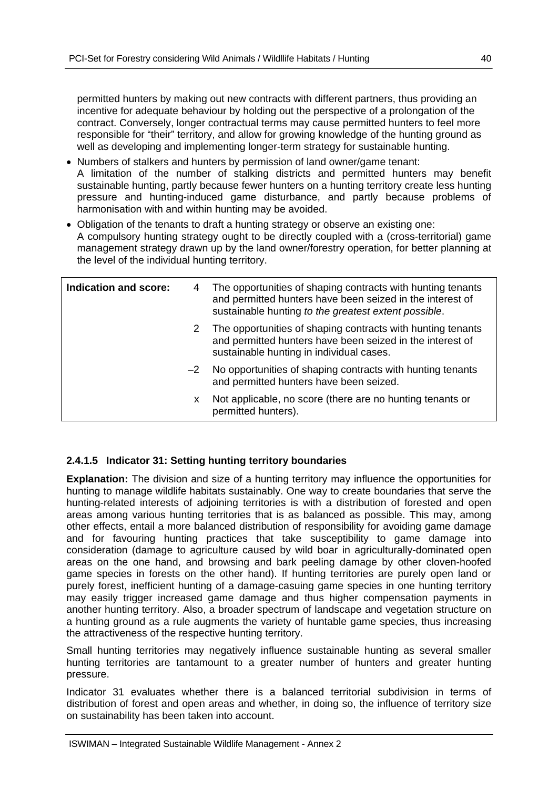permitted hunters by making out new contracts with different partners, thus providing an incentive for adequate behaviour by holding out the perspective of a prolongation of the contract. Conversely, longer contractual terms may cause permitted hunters to feel more responsible for "their" territory, and allow for growing knowledge of the hunting ground as well as developing and implementing longer-term strategy for sustainable hunting.

- Numbers of stalkers and hunters by permission of land owner/game tenant: A limitation of the number of stalking districts and permitted hunters may benefit sustainable hunting, partly because fewer hunters on a hunting territory create less hunting pressure and hunting-induced game disturbance, and partly because problems of harmonisation with and within hunting may be avoided.
- Obligation of the tenants to draft a hunting strategy or observe an existing one: A compulsory hunting strategy ought to be directly coupled with a (cross-territorial) game management strategy drawn up by the land owner/forestry operation, for better planning at the level of the individual hunting territory.

| Indication and score: | 4    | The opportunities of shaping contracts with hunting tenants<br>and permitted hunters have been seized in the interest of<br>sustainable hunting to the greatest extent possible. |
|-----------------------|------|----------------------------------------------------------------------------------------------------------------------------------------------------------------------------------|
|                       | 2    | The opportunities of shaping contracts with hunting tenants<br>and permitted hunters have been seized in the interest of<br>sustainable hunting in individual cases.             |
|                       | $-2$ | No opportunities of shaping contracts with hunting tenants<br>and permitted hunters have been seized.                                                                            |
|                       | x.   | Not applicable, no score (there are no hunting tenants or<br>permitted hunters).                                                                                                 |

#### **2.4.1.5 Indicator 31: Setting hunting territory boundaries**

**Explanation:** The division and size of a hunting territory may influence the opportunities for hunting to manage wildlife habitats sustainably. One way to create boundaries that serve the hunting-related interests of adjoining territories is with a distribution of forested and open areas among various hunting territories that is as balanced as possible. This may, among other effects, entail a more balanced distribution of responsibility for avoiding game damage and for favouring hunting practices that take susceptibility to game damage into consideration (damage to agriculture caused by wild boar in agriculturally-dominated open areas on the one hand, and browsing and bark peeling damage by other cloven-hoofed game species in forests on the other hand). If hunting territories are purely open land or purely forest, inefficient hunting of a damage-casuing game species in one hunting territory may easily trigger increased game damage and thus higher compensation payments in another hunting territory. Also, a broader spectrum of landscape and vegetation structure on a hunting ground as a rule augments the variety of huntable game species, thus increasing the attractiveness of the respective hunting territory.

Small hunting territories may negatively influence sustainable hunting as several smaller hunting territories are tantamount to a greater number of hunters and greater hunting pressure.

Indicator 31 evaluates whether there is a balanced territorial subdivision in terms of distribution of forest and open areas and whether, in doing so, the influence of territory size on sustainability has been taken into account.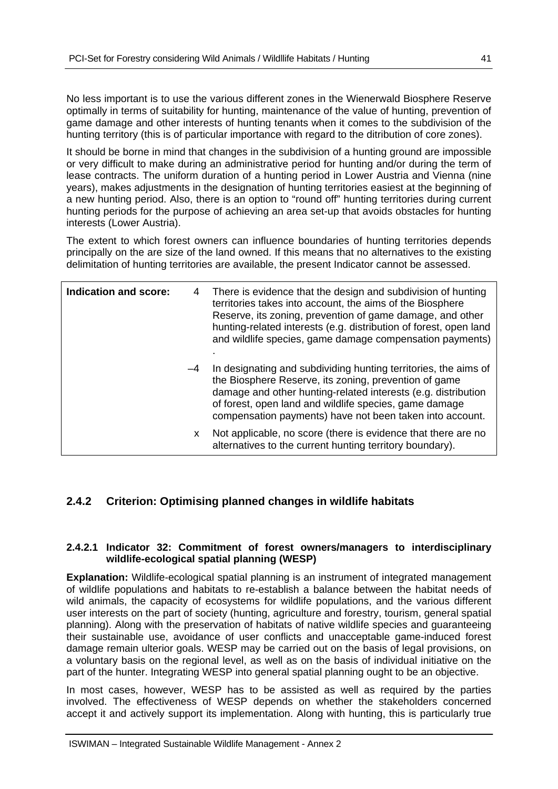No less important is to use the various different zones in the Wienerwald Biosphere Reserve optimally in terms of suitability for hunting, maintenance of the value of hunting, prevention of game damage and other interests of hunting tenants when it comes to the subdivision of the hunting territory (this is of particular importance with regard to the ditribution of core zones).

It should be borne in mind that changes in the subdivision of a hunting ground are impossible or very difficult to make during an administrative period for hunting and/or during the term of lease contracts. The uniform duration of a hunting period in Lower Austria and Vienna (nine years), makes adjustments in the designation of hunting territories easiest at the beginning of a new hunting period. Also, there is an option to "round off" hunting territories during current hunting periods for the purpose of achieving an area set-up that avoids obstacles for hunting interests (Lower Austria).

The extent to which forest owners can influence boundaries of hunting territories depends principally on the are size of the land owned. If this means that no alternatives to the existing delimitation of hunting territories are available, the present Indicator cannot be assessed.

| Indication and score: | 4    | There is evidence that the design and subdivision of hunting<br>territories takes into account, the aims of the Biosphere<br>Reserve, its zoning, prevention of game damage, and other<br>hunting-related interests (e.g. distribution of forest, open land<br>and wildlife species, game damage compensation payments) |
|-----------------------|------|-------------------------------------------------------------------------------------------------------------------------------------------------------------------------------------------------------------------------------------------------------------------------------------------------------------------------|
|                       | $-4$ | In designating and subdividing hunting territories, the aims of<br>the Biosphere Reserve, its zoning, prevention of game<br>damage and other hunting-related interests (e.g. distribution<br>of forest, open land and wildlife species, game damage<br>compensation payments) have not been taken into account.         |
|                       | X.   | Not applicable, no score (there is evidence that there are no<br>alternatives to the current hunting territory boundary).                                                                                                                                                                                               |

## **2.4.2 Criterion: Optimising planned changes in wildlife habitats**

#### **2.4.2.1 Indicator 32: Commitment of forest owners/managers to interdisciplinary wildlife-ecological spatial planning (WESP)**

**Explanation:** Wildlife-ecological spatial planning is an instrument of integrated management of wildlife populations and habitats to re-establish a balance between the habitat needs of wild animals, the capacity of ecosystems for wildlife populations, and the various different user interests on the part of society (hunting, agriculture and forestry, tourism, general spatial planning). Along with the preservation of habitats of native wildlife species and guaranteeing their sustainable use, avoidance of user conflicts and unacceptable game-induced forest damage remain ulterior goals. WESP may be carried out on the basis of legal provisions, on a voluntary basis on the regional level, as well as on the basis of individual initiative on the part of the hunter. Integrating WESP into general spatial planning ought to be an objective.

In most cases, however, WESP has to be assisted as well as required by the parties involved. The effectiveness of WESP depends on whether the stakeholders concerned accept it and actively support its implementation. Along with hunting, this is particularly true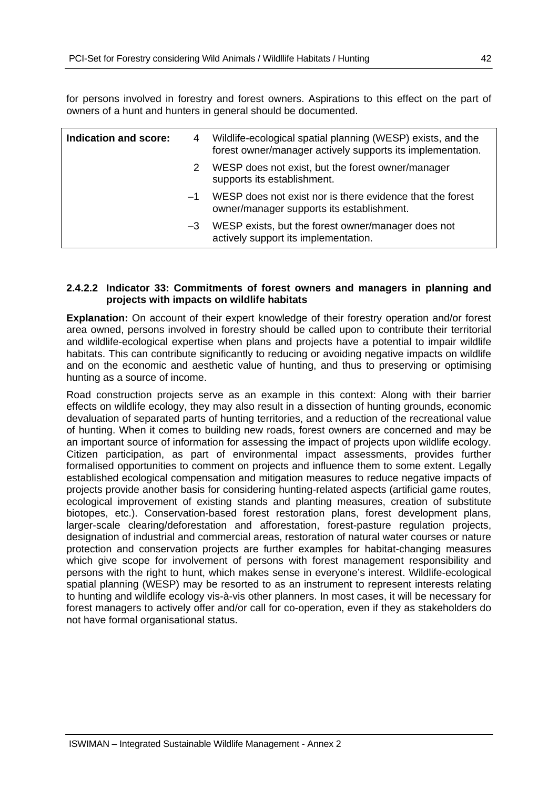for persons involved in forestry and forest owners. Aspirations to this effect on the part of owners of a hunt and hunters in general should be documented.

| Indication and score: | 4    | Wildlife-ecological spatial planning (WESP) exists, and the<br>forest owner/manager actively supports its implementation. |
|-----------------------|------|---------------------------------------------------------------------------------------------------------------------------|
|                       | 2    | WESP does not exist, but the forest owner/manager<br>supports its establishment.                                          |
|                       | —1   | WESP does not exist nor is there evidence that the forest<br>owner/manager supports its establishment.                    |
|                       | $-3$ | WESP exists, but the forest owner/manager does not<br>actively support its implementation.                                |

#### **2.4.2.2 Indicator 33: Commitments of forest owners and managers in planning and projects with impacts on wildlife habitats**

**Explanation:** On account of their expert knowledge of their forestry operation and/or forest area owned, persons involved in forestry should be called upon to contribute their territorial and wildlife-ecological expertise when plans and projects have a potential to impair wildlife habitats. This can contribute significantly to reducing or avoiding negative impacts on wildlife and on the economic and aesthetic value of hunting, and thus to preserving or optimising hunting as a source of income.

Road construction projects serve as an example in this context: Along with their barrier effects on wildlife ecology, they may also result in a dissection of hunting grounds, economic devaluation of separated parts of hunting territories, and a reduction of the recreational value of hunting. When it comes to building new roads, forest owners are concerned and may be an important source of information for assessing the impact of projects upon wildlife ecology. Citizen participation, as part of environmental impact assessments, provides further formalised opportunities to comment on projects and influence them to some extent. Legally established ecological compensation and mitigation measures to reduce negative impacts of projects provide another basis for considering hunting-related aspects (artificial game routes, ecological improvement of existing stands and planting measures, creation of substitute biotopes, etc.). Conservation-based forest restoration plans, forest development plans, larger-scale clearing/deforestation and afforestation, forest-pasture regulation projects, designation of industrial and commercial areas, restoration of natural water courses or nature protection and conservation projects are further examples for habitat-changing measures which give scope for involvement of persons with forest management responsibility and persons with the right to hunt, which makes sense in everyone's interest. Wildlife-ecological spatial planning (WESP) may be resorted to as an instrument to represent interests relating to hunting and wildlife ecology vis-à-vis other planners. In most cases, it will be necessary for forest managers to actively offer and/or call for co-operation, even if they as stakeholders do not have formal organisational status.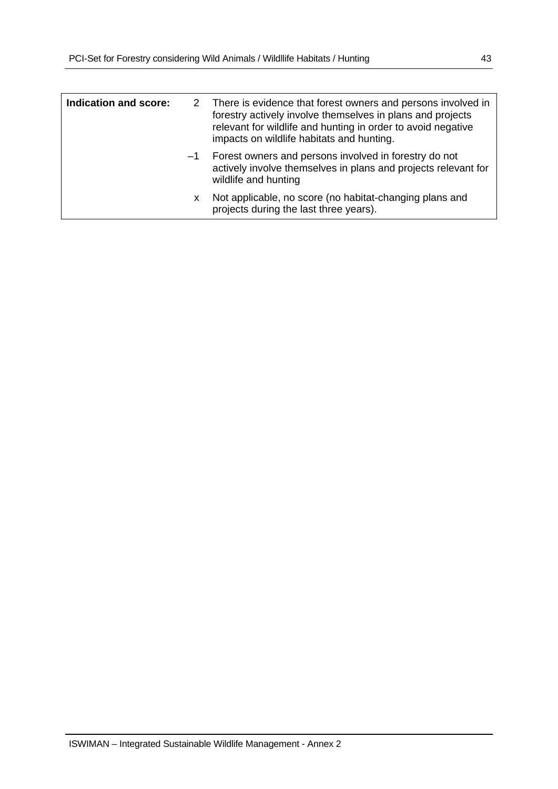| <b>Indication and score:</b> | 2    | There is evidence that forest owners and persons involved in<br>forestry actively involve themselves in plans and projects<br>relevant for wildlife and hunting in order to avoid negative<br>impacts on wildlife habitats and hunting. |
|------------------------------|------|-----------------------------------------------------------------------------------------------------------------------------------------------------------------------------------------------------------------------------------------|
|                              | $-1$ | Forest owners and persons involved in forestry do not<br>actively involve themselves in plans and projects relevant for<br>wildlife and hunting                                                                                         |
|                              | x.   | Not applicable, no score (no habitat-changing plans and<br>projects during the last three years).                                                                                                                                       |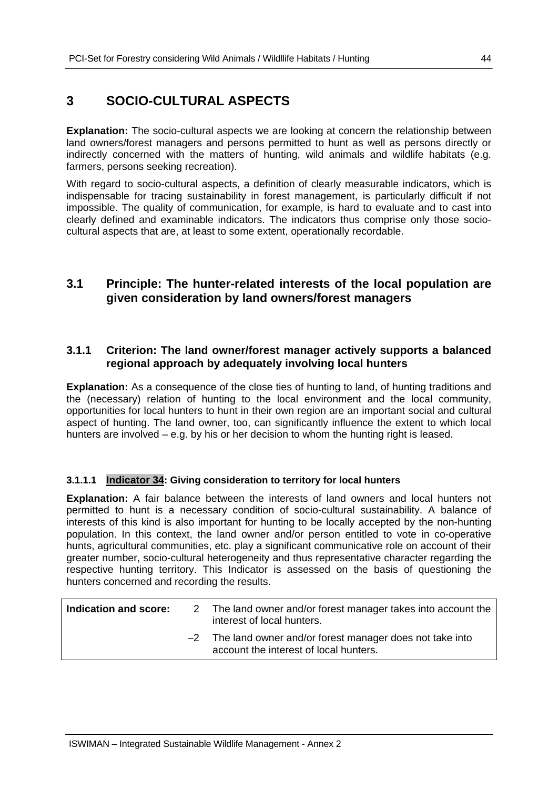## **3 SOCIO-CULTURAL ASPECTS**

**Explanation:** The socio-cultural aspects we are looking at concern the relationship between land owners/forest managers and persons permitted to hunt as well as persons directly or indirectly concerned with the matters of hunting, wild animals and wildlife habitats (e.g. farmers, persons seeking recreation).

With regard to socio-cultural aspects, a definition of clearly measurable indicators, which is indispensable for tracing sustainability in forest management, is particularly difficult if not impossible. The quality of communication, for example, is hard to evaluate and to cast into clearly defined and examinable indicators. The indicators thus comprise only those sociocultural aspects that are, at least to some extent, operationally recordable.

## **3.1 Principle: The hunter-related interests of the local population are given consideration by land owners/forest managers**

#### **3.1.1 Criterion: The land owner/forest manager actively supports a balanced regional approach by adequately involving local hunters**

**Explanation:** As a consequence of the close ties of hunting to land, of hunting traditions and the (necessary) relation of hunting to the local environment and the local community, opportunities for local hunters to hunt in their own region are an important social and cultural aspect of hunting. The land owner, too, can significantly influence the extent to which local hunters are involved – e.g. by his or her decision to whom the hunting right is leased.

#### **3.1.1.1 Indicator 34: Giving consideration to territory for local hunters**

**Explanation:** A fair balance between the interests of land owners and local hunters not permitted to hunt is a necessary condition of socio-cultural sustainability. A balance of interests of this kind is also important for hunting to be locally accepted by the non-hunting population. In this context, the land owner and/or person entitled to vote in co-operative hunts, agricultural communities, etc. play a significant communicative role on account of their greater number, socio-cultural heterogeneity and thus representative character regarding the respective hunting territory. This Indicator is assessed on the basis of questioning the hunters concerned and recording the results.

| Indication and score: | 2 The land owner and/or forest manager takes into account the<br>interest of local hunters.            |
|-----------------------|--------------------------------------------------------------------------------------------------------|
|                       | $-2$ The land owner and/or forest manager does not take into<br>account the interest of local hunters. |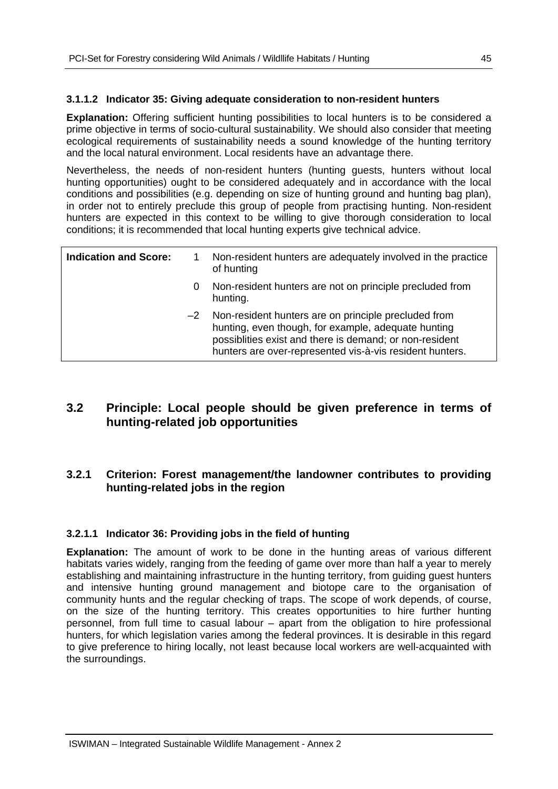#### **3.1.1.2 Indicator 35: Giving adequate consideration to non-resident hunters**

**Explanation:** Offering sufficient hunting possibilities to local hunters is to be considered a prime objective in terms of socio-cultural sustainability. We should also consider that meeting ecological requirements of sustainability needs a sound knowledge of the hunting territory and the local natural environment. Local residents have an advantage there.

Nevertheless, the needs of non-resident hunters (hunting guests, hunters without local hunting opportunities) ought to be considered adequately and in accordance with the local conditions and possibilities (e.g. depending on size of hunting ground and hunting bag plan), in order not to entirely preclude this group of people from practising hunting. Non-resident hunters are expected in this context to be willing to give thorough consideration to local conditions; it is recommended that local hunting experts give technical advice.

| <b>Indication and Score:</b> |      | Non-resident hunters are adequately involved in the practice<br>of hunting                                                                                                                                                         |
|------------------------------|------|------------------------------------------------------------------------------------------------------------------------------------------------------------------------------------------------------------------------------------|
|                              | 0    | Non-resident hunters are not on principle precluded from<br>hunting.                                                                                                                                                               |
|                              | $-2$ | Non-resident hunters are on principle precluded from<br>hunting, even though, for example, adequate hunting<br>possiblities exist and there is demand; or non-resident<br>hunters are over-represented vis-à-vis resident hunters. |

## **3.2 Principle: Local people should be given preference in terms of hunting-related job opportunities**

#### **3.2.1 Criterion: Forest management/the landowner contributes to providing hunting-related jobs in the region**

#### **3.2.1.1 Indicator 36: Providing jobs in the field of hunting**

**Explanation:** The amount of work to be done in the hunting areas of various different habitats varies widely, ranging from the feeding of game over more than half a year to merely establishing and maintaining infrastructure in the hunting territory, from guiding guest hunters and intensive hunting ground management and biotope care to the organisation of community hunts and the regular checking of traps. The scope of work depends, of course, on the size of the hunting territory. This creates opportunities to hire further hunting personnel, from full time to casual labour – apart from the obligation to hire professional hunters, for which legislation varies among the federal provinces. It is desirable in this regard to give preference to hiring locally, not least because local workers are well-acquainted with the surroundings.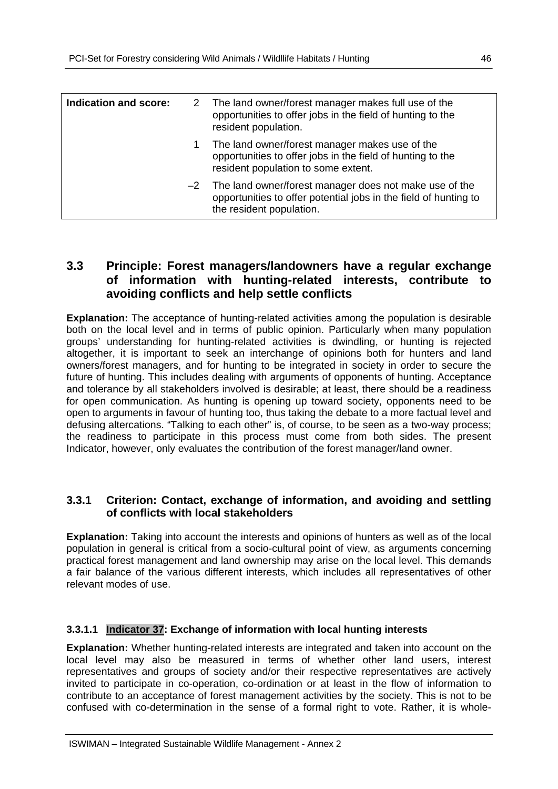| Indication and score: | 2 The land owner/forest manager makes full use of the<br>opportunities to offer jobs in the field of hunting to the<br>resident population.                 |
|-----------------------|-------------------------------------------------------------------------------------------------------------------------------------------------------------|
|                       | The land owner/forest manager makes use of the<br>opportunities to offer jobs in the field of hunting to the<br>resident population to some extent.         |
|                       | $-2$ The land owner/forest manager does not make use of the<br>opportunities to offer potential jobs in the field of hunting to<br>the resident population. |

## **3.3 Principle: Forest managers/landowners have a regular exchange of information with hunting-related interests, contribute to avoiding conflicts and help settle conflicts**

**Explanation:** The acceptance of hunting-related activities among the population is desirable both on the local level and in terms of public opinion. Particularly when many population groups' understanding for hunting-related activities is dwindling, or hunting is rejected altogether, it is important to seek an interchange of opinions both for hunters and land owners/forest managers, and for hunting to be integrated in society in order to secure the future of hunting. This includes dealing with arguments of opponents of hunting. Acceptance and tolerance by all stakeholders involved is desirable; at least, there should be a readiness for open communication. As hunting is opening up toward society, opponents need to be open to arguments in favour of hunting too, thus taking the debate to a more factual level and defusing altercations. "Talking to each other" is, of course, to be seen as a two-way process; the readiness to participate in this process must come from both sides. The present Indicator, however, only evaluates the contribution of the forest manager/land owner.

#### **3.3.1 Criterion: Contact, exchange of information, and avoiding and settling of conflicts with local stakeholders**

**Explanation:** Taking into account the interests and opinions of hunters as well as of the local population in general is critical from a socio-cultural point of view, as arguments concerning practical forest management and land ownership may arise on the local level. This demands a fair balance of the various different interests, which includes all representatives of other relevant modes of use.

#### **3.3.1.1 Indicator 37: Exchange of information with local hunting interests**

**Explanation:** Whether hunting-related interests are integrated and taken into account on the local level may also be measured in terms of whether other land users, interest representatives and groups of society and/or their respective representatives are actively invited to participate in co-operation, co-ordination or at least in the flow of information to contribute to an acceptance of forest management activities by the society. This is not to be confused with co-determination in the sense of a formal right to vote. Rather, it is whole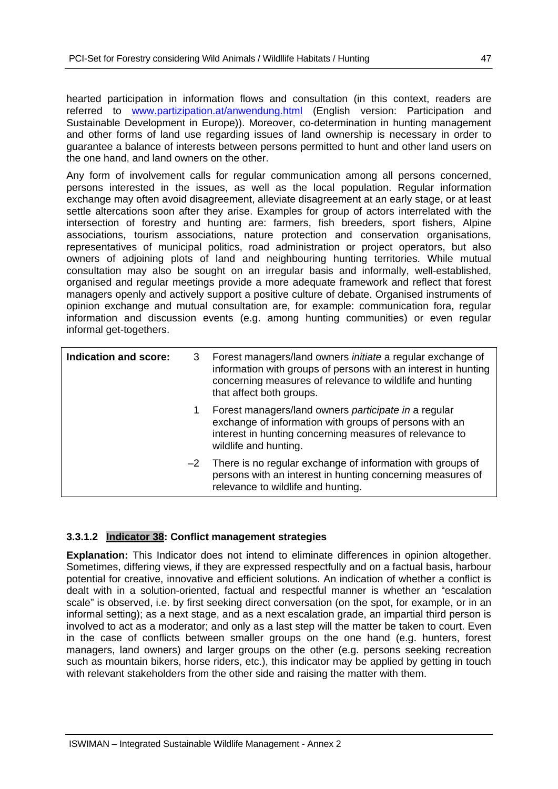hearted participation in information flows and consultation (in this context, readers are referred to www.partizipation.at/anwendung.html (English version: Participation and Sustainable Development in Europe)). Moreover, co-determination in hunting management and other forms of land use regarding issues of land ownership is necessary in order to guarantee a balance of interests between persons permitted to hunt and other land users on the one hand, and land owners on the other.

Any form of involvement calls for regular communication among all persons concerned, persons interested in the issues, as well as the local population. Regular information exchange may often avoid disagreement, alleviate disagreement at an early stage, or at least settle altercations soon after they arise. Examples for group of actors interrelated with the intersection of forestry and hunting are: farmers, fish breeders, sport fishers, Alpine associations, tourism associations, nature protection and conservation organisations, representatives of municipal politics, road administration or project operators, but also owners of adjoining plots of land and neighbouring hunting territories. While mutual consultation may also be sought on an irregular basis and informally, well-established, organised and regular meetings provide a more adequate framework and reflect that forest managers openly and actively support a positive culture of debate. Organised instruments of opinion exchange and mutual consultation are, for example: communication fora, regular information and discussion events (e.g. among hunting communities) or even regular informal get-togethers.

| Indication and score: | 3  | Forest managers/land owners <i>initiate</i> a regular exchange of<br>information with groups of persons with an interest in hunting<br>concerning measures of relevance to wildlife and hunting<br>that affect both groups. |
|-----------------------|----|-----------------------------------------------------------------------------------------------------------------------------------------------------------------------------------------------------------------------------|
|                       | 1. | Forest managers/land owners participate in a regular<br>exchange of information with groups of persons with an<br>interest in hunting concerning measures of relevance to<br>wildlife and hunting.                          |
|                       |    | $-2$ There is no regular exchange of information with groups of<br>persons with an interest in hunting concerning measures of<br>relevance to wildlife and hunting.                                                         |

#### **3.3.1.2 Indicator 38: Conflict management strategies**

**Explanation:** This Indicator does not intend to eliminate differences in opinion altogether. Sometimes, differing views, if they are expressed respectfully and on a factual basis, harbour potential for creative, innovative and efficient solutions. An indication of whether a conflict is dealt with in a solution-oriented, factual and respectful manner is whether an "escalation scale" is observed, i.e. by first seeking direct conversation (on the spot, for example, or in an informal setting); as a next stage, and as a next escalation grade, an impartial third person is involved to act as a moderator; and only as a last step will the matter be taken to court. Even in the case of conflicts between smaller groups on the one hand (e.g. hunters, forest managers, land owners) and larger groups on the other (e.g. persons seeking recreation such as mountain bikers, horse riders, etc.), this indicator may be applied by getting in touch with relevant stakeholders from the other side and raising the matter with them.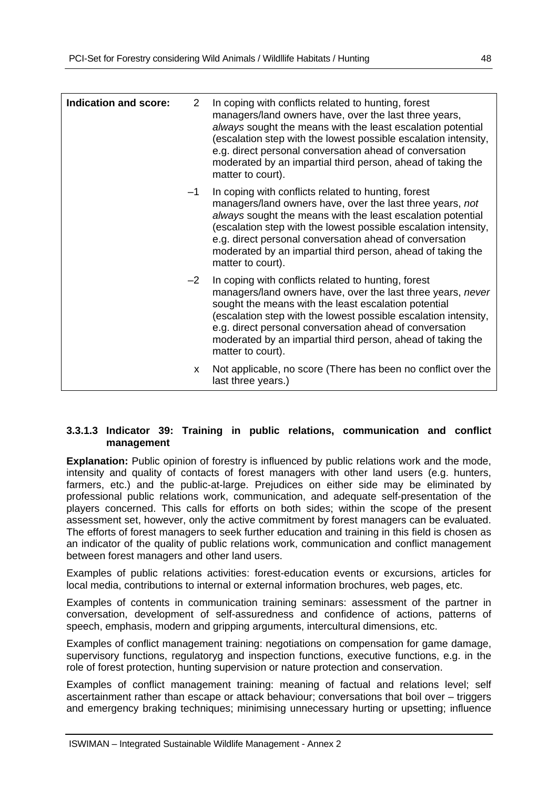| Indication and score: | 2    | In coping with conflicts related to hunting, forest<br>managers/land owners have, over the last three years,<br>always sought the means with the least escalation potential<br>(escalation step with the lowest possible escalation intensity,<br>e.g. direct personal conversation ahead of conversation<br>moderated by an impartial third person, ahead of taking the<br>matter to court).     |
|-----------------------|------|---------------------------------------------------------------------------------------------------------------------------------------------------------------------------------------------------------------------------------------------------------------------------------------------------------------------------------------------------------------------------------------------------|
|                       | $-1$ | In coping with conflicts related to hunting, forest<br>managers/land owners have, over the last three years, not<br>always sought the means with the least escalation potential<br>(escalation step with the lowest possible escalation intensity,<br>e.g. direct personal conversation ahead of conversation<br>moderated by an impartial third person, ahead of taking the<br>matter to court). |
|                       | $-2$ | In coping with conflicts related to hunting, forest<br>managers/land owners have, over the last three years, never<br>sought the means with the least escalation potential<br>(escalation step with the lowest possible escalation intensity,<br>e.g. direct personal conversation ahead of conversation<br>moderated by an impartial third person, ahead of taking the<br>matter to court).      |
|                       | X.   | Not applicable, no score (There has been no conflict over the<br>last three years.)                                                                                                                                                                                                                                                                                                               |

#### **3.3.1.3 Indicator 39: Training in public relations, communication and conflict management**

**Explanation:** Public opinion of forestry is influenced by public relations work and the mode, intensity and quality of contacts of forest managers with other land users (e.g. hunters, farmers, etc.) and the public-at-large. Prejudices on either side may be eliminated by professional public relations work, communication, and adequate self-presentation of the players concerned. This calls for efforts on both sides; within the scope of the present assessment set, however, only the active commitment by forest managers can be evaluated. The efforts of forest managers to seek further education and training in this field is chosen as an indicator of the quality of public relations work, communication and conflict management between forest managers and other land users.

Examples of public relations activities: forest-education events or excursions, articles for local media, contributions to internal or external information brochures, web pages, etc.

Examples of contents in communication training seminars: assessment of the partner in conversation, development of self-assuredness and confidence of actions, patterns of speech, emphasis, modern and gripping arguments, intercultural dimensions, etc.

Examples of conflict management training: negotiations on compensation for game damage, supervisory functions, regulatoryg and inspection functions, executive functions, e.g. in the role of forest protection, hunting supervision or nature protection and conservation.

Examples of conflict management training: meaning of factual and relations level; self ascertainment rather than escape or attack behaviour; conversations that boil over – triggers and emergency braking techniques; minimising unnecessary hurting or upsetting; influence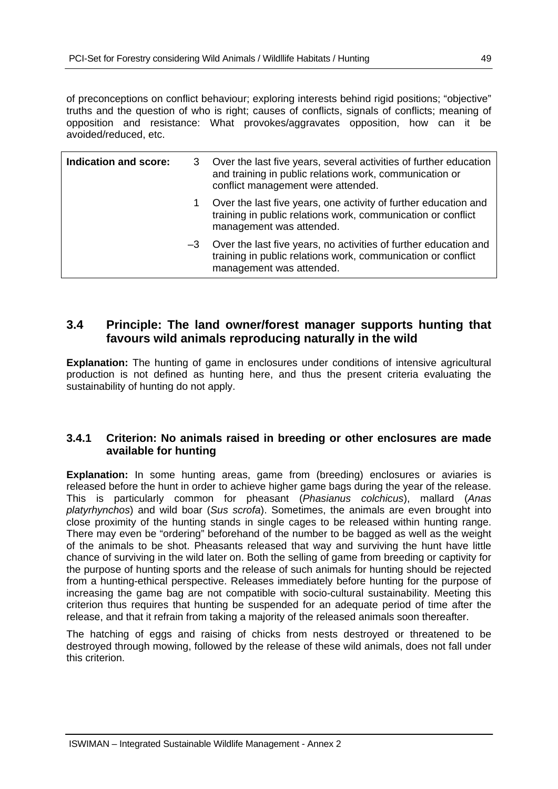of preconceptions on conflict behaviour; exploring interests behind rigid positions; "objective" truths and the question of who is right; causes of conflicts, signals of conflicts; meaning of opposition and resistance: What provokes/aggravates opposition, how can it be avoided/reduced, etc.

| Indication and score: | 3    | Over the last five years, several activities of further education<br>and training in public relations work, communication or<br>conflict management were attended. |
|-----------------------|------|--------------------------------------------------------------------------------------------------------------------------------------------------------------------|
|                       | 1    | Over the last five years, one activity of further education and<br>training in public relations work, communication or conflict<br>management was attended.        |
|                       | $-3$ | Over the last five years, no activities of further education and<br>training in public relations work, communication or conflict<br>management was attended.       |

## **3.4 Principle: The land owner/forest manager supports hunting that favours wild animals reproducing naturally in the wild**

**Explanation:** The hunting of game in enclosures under conditions of intensive agricultural production is not defined as hunting here, and thus the present criteria evaluating the sustainability of hunting do not apply.

#### **3.4.1 Criterion: No animals raised in breeding or other enclosures are made available for hunting**

**Explanation:** In some hunting areas, game from (breeding) enclosures or aviaries is released before the hunt in order to achieve higher game bags during the year of the release. This is particularly common for pheasant (*Phasianus colchicus*), mallard (*Anas platyrhynchos*) and wild boar (*Sus scrofa*). Sometimes, the animals are even brought into close proximity of the hunting stands in single cages to be released within hunting range. There may even be "ordering" beforehand of the number to be bagged as well as the weight of the animals to be shot. Pheasants released that way and surviving the hunt have little chance of surviving in the wild later on. Both the selling of game from breeding or captivity for the purpose of hunting sports and the release of such animals for hunting should be rejected from a hunting-ethical perspective. Releases immediately before hunting for the purpose of increasing the game bag are not compatible with socio-cultural sustainability. Meeting this criterion thus requires that hunting be suspended for an adequate period of time after the release, and that it refrain from taking a majority of the released animals soon thereafter.

The hatching of eggs and raising of chicks from nests destroyed or threatened to be destroyed through mowing, followed by the release of these wild animals, does not fall under this criterion.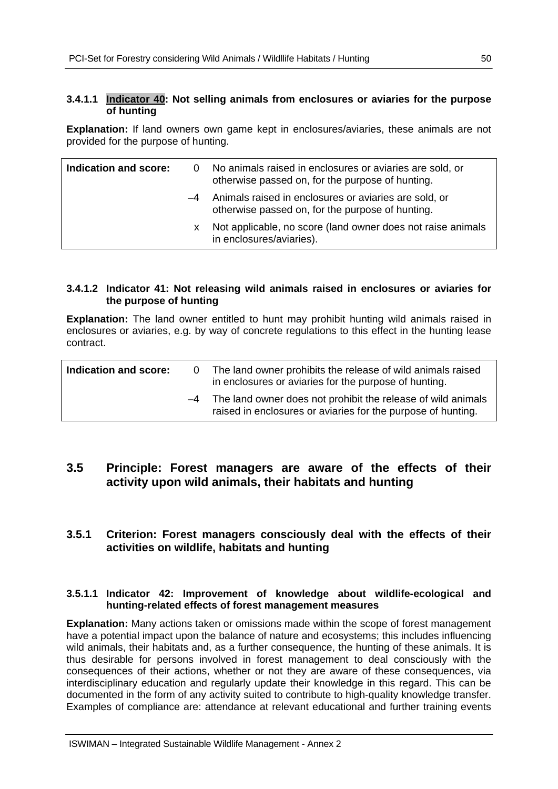#### **3.4.1.1 Indicator 40: Not selling animals from enclosures or aviaries for the purpose of hunting**

**Explanation:** If land owners own game kept in enclosures/aviaries, these animals are not provided for the purpose of hunting.

| Indication and score: |      | 0 No animals raised in enclosures or aviaries are sold, or<br>otherwise passed on, for the purpose of hunting. |
|-----------------------|------|----------------------------------------------------------------------------------------------------------------|
|                       | $-4$ | Animals raised in enclosures or aviaries are sold, or<br>otherwise passed on, for the purpose of hunting.      |
|                       | x.   | Not applicable, no score (land owner does not raise animals<br>in enclosures/aviaries).                        |

#### **3.4.1.2 Indicator 41: Not releasing wild animals raised in enclosures or aviaries for the purpose of hunting**

**Explanation:** The land owner entitled to hunt may prohibit hunting wild animals raised in enclosures or aviaries, e.g. by way of concrete regulations to this effect in the hunting lease contract.

| Indication and score: | The land owner prohibits the release of wild animals raised<br>in enclosures or aviaries for the purpose of hunting.              |
|-----------------------|-----------------------------------------------------------------------------------------------------------------------------------|
|                       | $-4$ The land owner does not prohibit the release of wild animals<br>raised in enclosures or aviaries for the purpose of hunting. |

## **3.5 Principle: Forest managers are aware of the effects of their activity upon wild animals, their habitats and hunting**

### **3.5.1 Criterion: Forest managers consciously deal with the effects of their activities on wildlife, habitats and hunting**

#### **3.5.1.1 Indicator 42: Improvement of knowledge about wildlife-ecological and hunting-related effects of forest management measures**

**Explanation:** Many actions taken or omissions made within the scope of forest management have a potential impact upon the balance of nature and ecosystems; this includes influencing wild animals, their habitats and, as a further consequence, the hunting of these animals. It is thus desirable for persons involved in forest management to deal consciously with the consequences of their actions, whether or not they are aware of these consequences, via interdisciplinary education and regularly update their knowledge in this regard. This can be documented in the form of any activity suited to contribute to high-quality knowledge transfer. Examples of compliance are: attendance at relevant educational and further training events